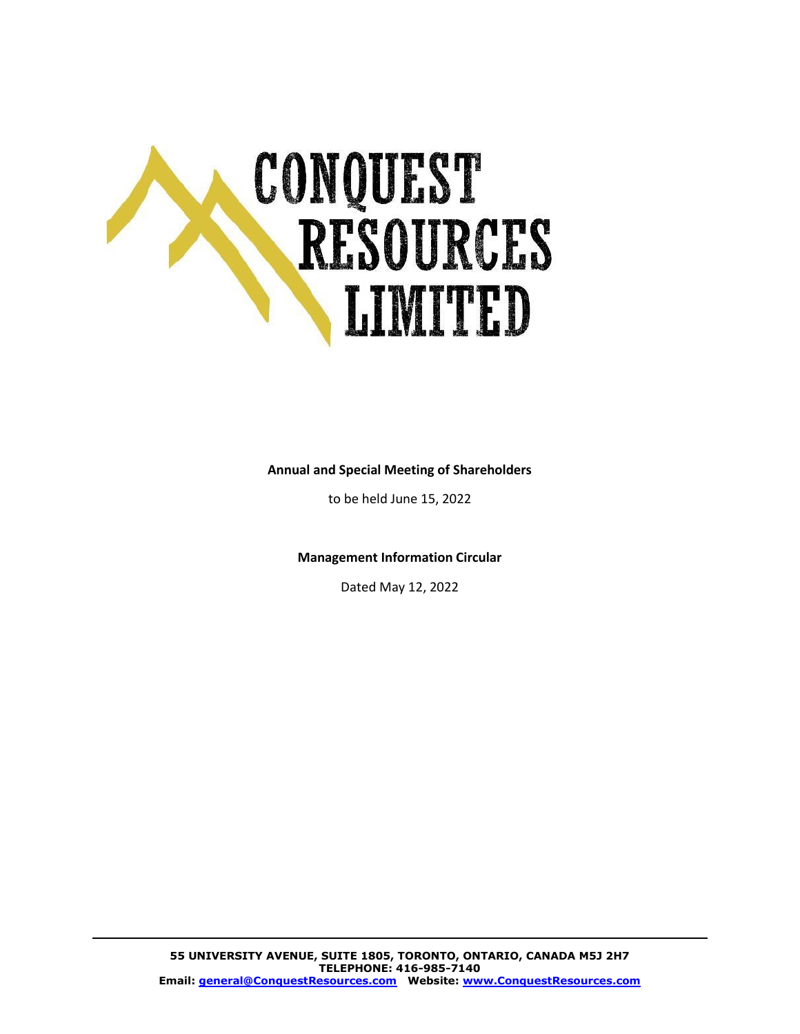

#### **Annual and Special Meeting of Shareholders**

to be held [June 15, 2022](#page-1-0)

**Management Information Circular**

Dated May 12, 2022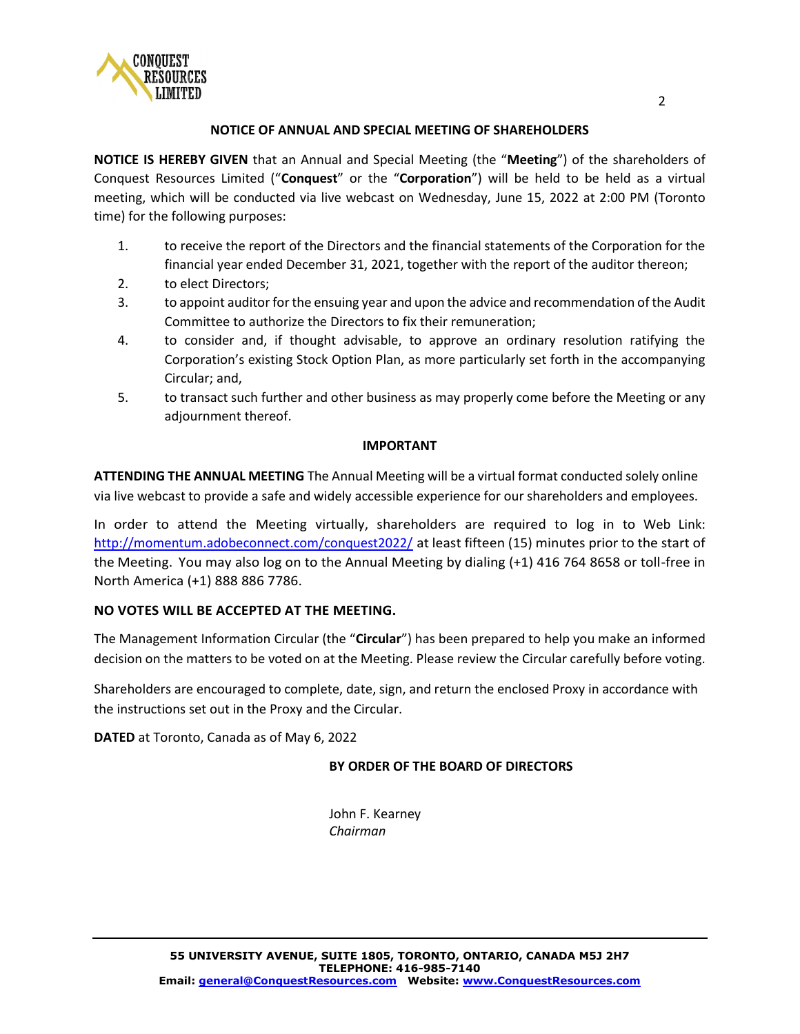

#### **NOTICE OF ANNUAL AND SPECIAL MEETING OF SHAREHOLDERS**

**NOTICE IS HEREBY GIVEN** that an Annual and Special Meeting (the "**Meeting**") of the shareholders of Conquest Resources Limited ("**Conquest**" or the "**Corporation**") will be held to be held as a virtual meeting, which will be conducted via live webcast on Wednesday, June 15, 2022 at 2:00 PM (Toronto time) for the following purposes:

- 1. to receive the report of the Directors and the financial statements of the Corporation for the financial year ended December 31, 2021, together with the report of the auditor thereon;
- 2. to elect Directors;
- 3. to appoint auditor for the ensuing year and upon the advice and recommendation of the Audit Committee to authorize the Directors to fix their remuneration;
- 4. to consider and, if thought advisable, to approve an ordinary resolution ratifying the Corporation's existing Stock Option Plan, as more particularly set forth in the accompanying Circular; and,
- 5. to transact such further and other business as may properly come before the Meeting or any adjournment thereof.

#### <span id="page-1-0"></span>**IMPORTANT**

**ATTENDING THE ANNUAL MEETING** The Annual Meeting will be a virtual format conducted solely online via live webcast to provide a safe and widely accessible experience for our shareholders and employees.

In order to attend the Meeting virtually, shareholders are required to log in to Web Link: <http://momentum.adobeconnect.com/conquest2022/> at least fifteen (15) minutes prior to the start of the Meeting. You may also log on to the Annual Meeting by dialing (+1) 416 764 8658 or toll-free in North America (+1) 888 886 7786.

## **NO VOTES WILL BE ACCEPTED AT THE MEETING.**

The Management Information Circular (the "**Circular**") has been prepared to help you make an informed decision on the matters to be voted on at the Meeting. Please review the Circular carefully before voting.

Shareholders are encouraged to complete, date, sign, and return the enclosed Proxy in accordance with the instructions set out in the Proxy and the Circular.

**DATED** at Toronto, Canada as of May 6, 2022

#### **BY ORDER OF THE BOARD OF DIRECTORS**

John F. Kearney *Chairman*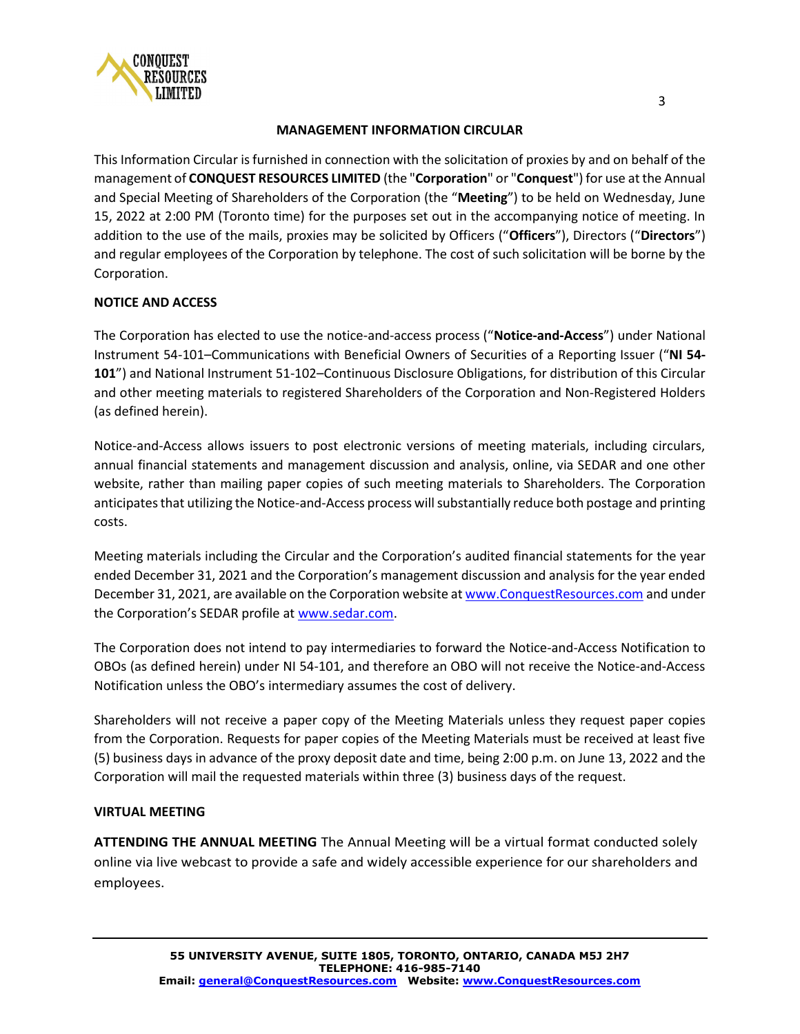

#### **MANAGEMENT INFORMATION CIRCULAR**

This Information Circular is furnished in connection with the solicitation of proxies by and on behalf of the management of **CONQUEST RESOURCES LIMITED** (the "**Corporation**" or "**Conquest**") for use at the Annual and Special Meeting of Shareholders of the Corporation (the "**Meeting**") to be held on Wednesday, June 15, 2022 at 2:00 PM (Toronto time) for the purposes set out in the accompanying notice of meeting. In addition to the use of the mails, proxies may be solicited by Officers ("**Officers**"), Directors ("**Directors**") and regular employees of the Corporation by telephone. The cost of such solicitation will be borne by the Corporation.

## **NOTICE AND ACCESS**

The Corporation has elected to use the notice‐and‐access process ("**Notice‐and‐Access**") under National Instrument 54‐101–Communications with Beneficial Owners of Securities of a Reporting Issuer ("**NI 54‐ 101**") and National Instrument 51‐102–Continuous Disclosure Obligations, for distribution of this Circular and other meeting materials to registered Shareholders of the Corporation and Non‐Registered Holders (as defined herein).

Notice‐and‐Access allows issuers to post electronic versions of meeting materials, including circulars, annual financial statements and management discussion and analysis, online, via SEDAR and one other website, rather than mailing paper copies of such meeting materials to Shareholders. The Corporation anticipates that utilizing the Notice‐and‐Access process will substantially reduce both postage and printing costs.

Meeting materials including the Circular and the Corporation's audited financial statements for the year ended December 31, 2021 and the Corporation's management discussion and analysis for the year ended December 31, 2021, are available on the Corporation website a[t www.ConquestResources.com](http://www.conquestresources.com/) and under the Corporation's SEDAR profile at [www.sedar.com.](http://www.sedar.com/)

The Corporation does not intend to pay intermediaries to forward the Notice‐and‐Access Notification to OBOs (as defined herein) under NI 54‐101, and therefore an OBO will not receive the Notice‐and‐Access Notification unless the OBO's intermediary assumes the cost of delivery.

Shareholders will not receive a paper copy of the Meeting Materials unless they request paper copies from the Corporation. Requests for paper copies of the Meeting Materials must be received at least five (5) business days in advance of the proxy deposit date and time, being 2:00 p.m. on June 13, 2022 and the Corporation will mail the requested materials within three (3) business days of the request.

## **VIRTUAL MEETING**

**ATTENDING THE ANNUAL MEETING** The Annual Meeting will be a virtual format conducted solely online via live webcast to provide a safe and widely accessible experience for our shareholders and employees.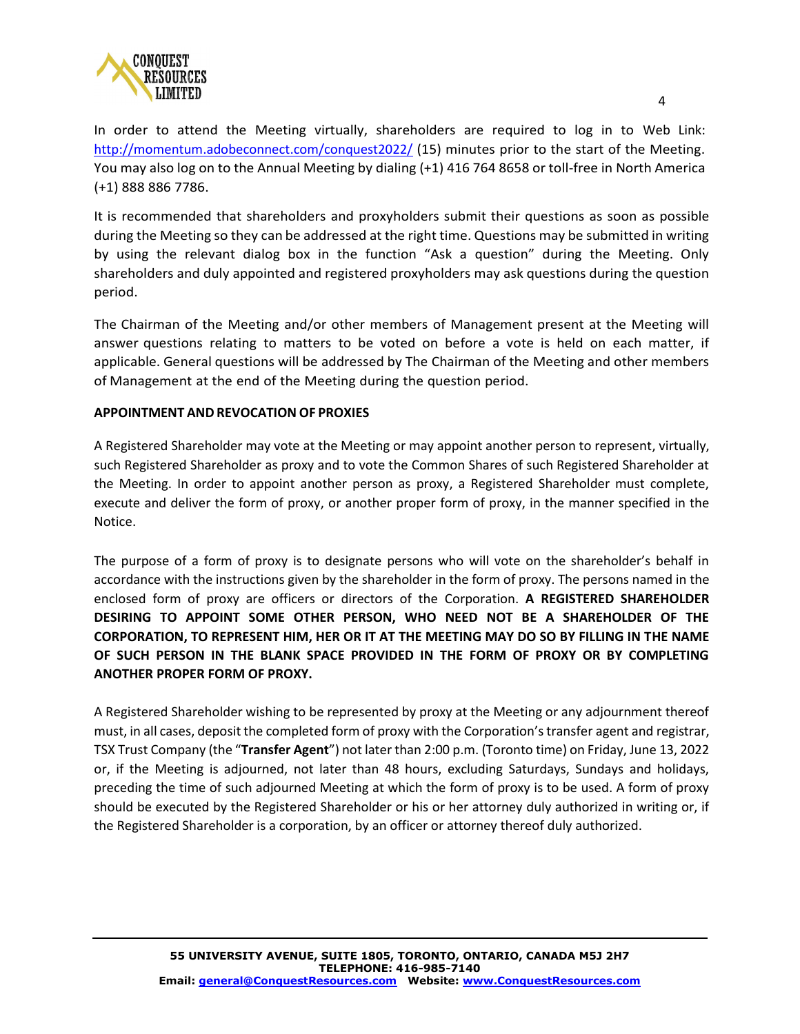

In order to attend the Meeting virtually, shareholders are required to log in to Web Link: <http://momentum.adobeconnect.com/conquest2022/> (15) minutes prior to the start of the Meeting. You may also log on to the Annual Meeting by dialing (+1) 416 764 8658 or toll-free in North America (+1) 888 886 7786.

It is recommended that shareholders and proxyholders submit their questions as soon as possible during the Meeting so they can be addressed at the right time. Questions may be submitted in writing by using the relevant dialog box in the function "Ask a question" during the Meeting. Only shareholders and duly appointed and registered proxyholders may ask questions during the question period.

The Chairman of the Meeting and/or other members of Management present at the Meeting will answer questions relating to matters to be voted on before a vote is held on each matter, if applicable. General questions will be addressed by The Chairman of the Meeting and other members of Management at the end of the Meeting during the question period.

## **APPOINTMENT AND REVOCATION OF PROXIES**

A Registered Shareholder may vote at the Meeting or may appoint another person to represent, virtually, such Registered Shareholder as proxy and to vote the Common Shares of such Registered Shareholder at the Meeting. In order to appoint another person as proxy, a Registered Shareholder must complete, execute and deliver the form of proxy, or another proper form of proxy, in the manner specified in the Notice.

The purpose of a form of proxy is to designate persons who will vote on the shareholder's behalf in accordance with the instructions given by the shareholder in the form of proxy. The persons named in the enclosed form of proxy are officers or directors of the Corporation. **A REGISTERED SHAREHOLDER DESIRING TO APPOINT SOME OTHER PERSON, WHO NEED NOT BE A SHAREHOLDER OF THE CORPORATION, TO REPRESENT HIM, HER OR IT AT THE MEETING MAY DO SO BY FILLING IN THE NAME OF SUCH PERSON IN THE BLANK SPACE PROVIDED IN THE FORM OF PROXY OR BY COMPLETING ANOTHER PROPER FORM OF PROXY.**

A Registered Shareholder wishing to be represented by proxy at the Meeting or any adjournment thereof must, in all cases, deposit the completed form of proxy with the Corporation's transfer agent and registrar, TSX Trust Company (the "**Transfer Agent**") not later than 2:00 p.m. (Toronto time) on Friday, June 13, 2022 or, if the Meeting is adjourned, not later than 48 hours, excluding Saturdays, Sundays and holidays, preceding the time of such adjourned Meeting at which the form of proxy is to be used. A form of proxy should be executed by the Registered Shareholder or his or her attorney duly authorized in writing or, if the Registered Shareholder is a corporation, by an officer or attorney thereof duly authorized.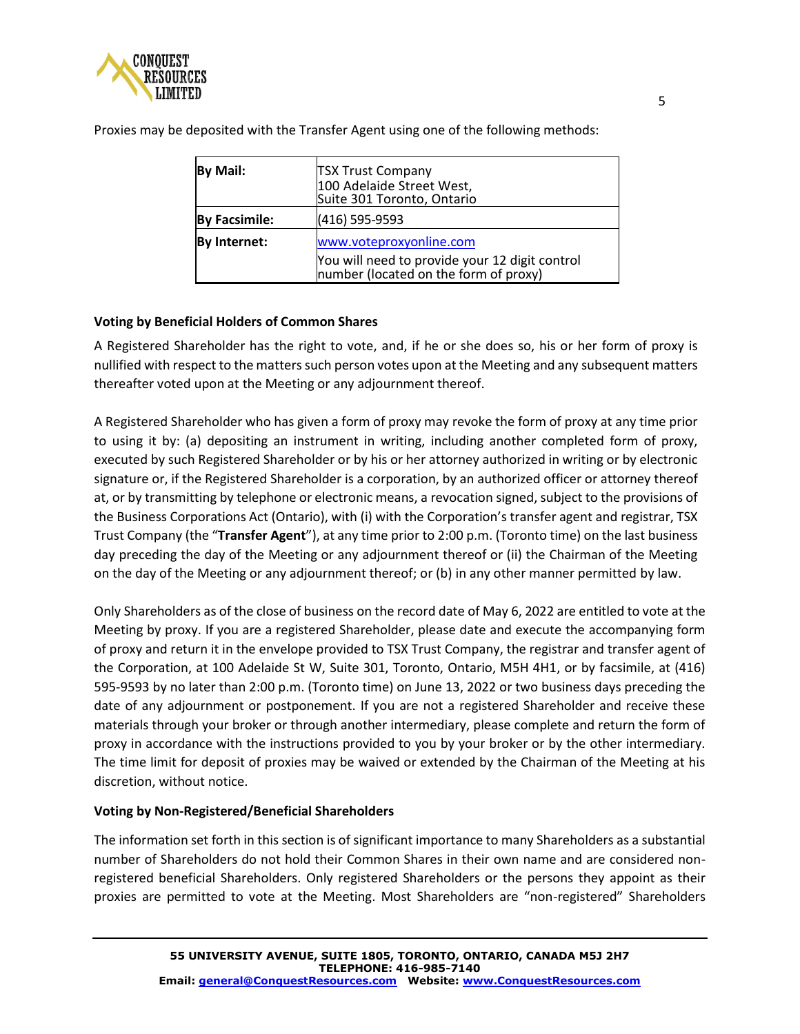

| By Mail:             | <b>TSX Trust Company</b><br>100 Adelaide Street West,<br>Suite 301 Toronto, Ontario                                |
|----------------------|--------------------------------------------------------------------------------------------------------------------|
| <b>By Facsimile:</b> | (416) 595-9593                                                                                                     |
| By Internet:         | www.voteproxyonline.com<br>You will need to provide your 12 digit control<br>number (located on the form of proxy) |

Proxies may be deposited with the Transfer Agent using one of the following methods:

## **Voting by Beneficial Holders of Common Shares**

A Registered Shareholder has the right to vote, and, if he or she does so, his or her form of proxy is nullified with respect to the matters such person votes upon at the Meeting and any subsequent matters thereafter voted upon at the Meeting or any adjournment thereof.

A Registered Shareholder who has given a form of proxy may revoke the form of proxy at any time prior to using it by: (a) depositing an instrument in writing, including another completed form of proxy, executed by such Registered Shareholder or by his or her attorney authorized in writing or by electronic signature or, if the Registered Shareholder is a corporation, by an authorized officer or attorney thereof at, or by transmitting by telephone or electronic means, a revocation signed, subject to the provisions of the Business Corporations Act (Ontario), with (i) with the Corporation's transfer agent and registrar, TSX Trust Company (the "**Transfer Agent**"), at any time prior to 2:00 p.m. (Toronto time) on the last business day preceding the day of the Meeting or any adjournment thereof or (ii) the Chairman of the Meeting on the day of the Meeting or any adjournment thereof; or (b) in any other manner permitted by law.

Only Shareholders as of the close of business on the record date of May 6, 2022 are entitled to vote at the Meeting by proxy. If you are a registered Shareholder, please date and execute the accompanying form of proxy and return it in the envelope provided to TSX Trust Company, the registrar and transfer agent of the Corporation, at 100 Adelaide St W, Suite 301, Toronto, Ontario, M5H 4H1, or by facsimile, at (416) 595-9593 by no later than 2:00 p.m. (Toronto time) on June 13, 2022 or two business days preceding the date of any adjournment or postponement. If you are not a registered Shareholder and receive these materials through your broker or through another intermediary, please complete and return the form of proxy in accordance with the instructions provided to you by your broker or by the other intermediary. The time limit for deposit of proxies may be waived or extended by the Chairman of the Meeting at his discretion, without notice.

## **Voting by Non-Registered/Beneficial Shareholders**

The information set forth in this section is of significant importance to many Shareholders as a substantial number of Shareholders do not hold their Common Shares in their own name and are considered nonregistered beneficial Shareholders. Only registered Shareholders or the persons they appoint as their proxies are permitted to vote at the Meeting. Most Shareholders are "non-registered" Shareholders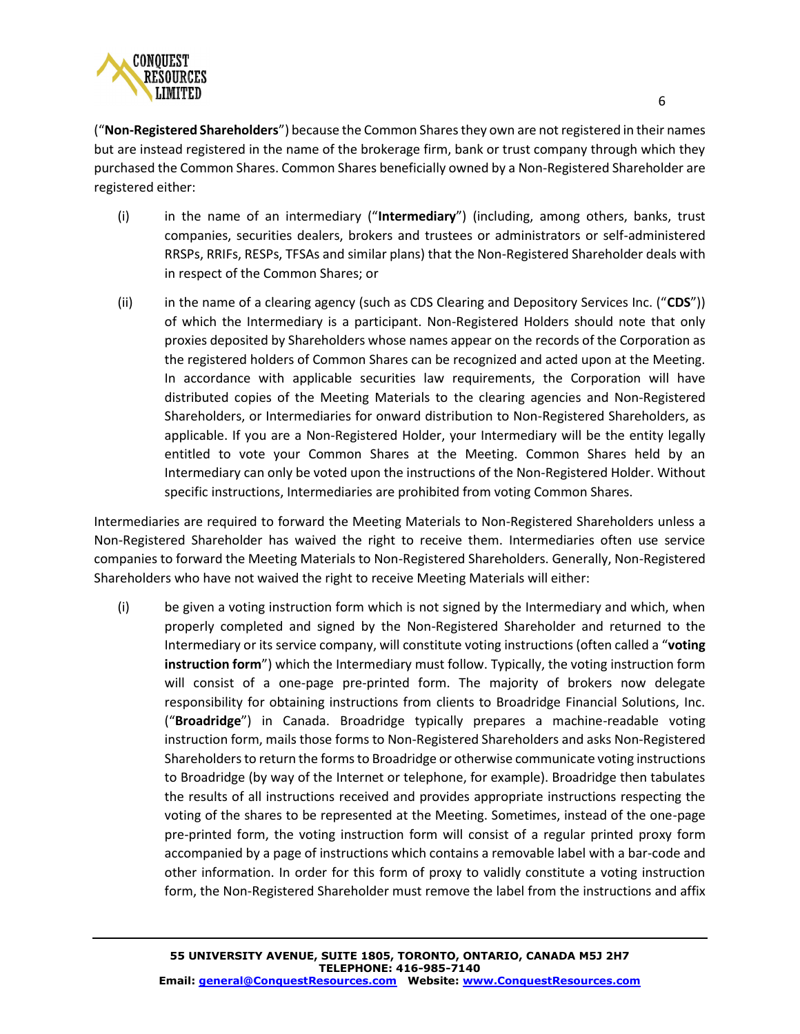

("**Non-Registered Shareholders**") because the Common Shares they own are not registered in their names but are instead registered in the name of the brokerage firm, bank or trust company through which they purchased the Common Shares. Common Shares beneficially owned by a Non-Registered Shareholder are registered either:

- (i) in the name of an intermediary ("**Intermediary**") (including, among others, banks, trust companies, securities dealers, brokers and trustees or administrators or self-administered RRSPs, RRIFs, RESPs, TFSAs and similar plans) that the Non-Registered Shareholder deals with in respect of the Common Shares; or
- (ii) in the name of a clearing agency (such as CDS Clearing and Depository Services Inc. ("**CDS**")) of which the Intermediary is a participant. Non-Registered Holders should note that only proxies deposited by Shareholders whose names appear on the records of the Corporation as the registered holders of Common Shares can be recognized and acted upon at the Meeting. In accordance with applicable securities law requirements, the Corporation will have distributed copies of the Meeting Materials to the clearing agencies and Non-Registered Shareholders, or Intermediaries for onward distribution to Non-Registered Shareholders, as applicable. If you are a Non-Registered Holder, your Intermediary will be the entity legally entitled to vote your Common Shares at the Meeting. Common Shares held by an Intermediary can only be voted upon the instructions of the Non-Registered Holder. Without specific instructions, Intermediaries are prohibited from voting Common Shares.

Intermediaries are required to forward the Meeting Materials to Non-Registered Shareholders unless a Non-Registered Shareholder has waived the right to receive them. Intermediaries often use service companies to forward the Meeting Materials to Non-Registered Shareholders. Generally, Non-Registered Shareholders who have not waived the right to receive Meeting Materials will either:

(i) be given a voting instruction form which is not signed by the Intermediary and which, when properly completed and signed by the Non-Registered Shareholder and returned to the Intermediary or its service company, will constitute voting instructions (often called a "**voting instruction form**") which the Intermediary must follow. Typically, the voting instruction form will consist of a one-page pre-printed form. The majority of brokers now delegate responsibility for obtaining instructions from clients to Broadridge Financial Solutions, Inc. ("**Broadridge**") in Canada. Broadridge typically prepares a machine-readable voting instruction form, mails those forms to Non-Registered Shareholders and asks Non-Registered Shareholders to return the forms to Broadridge or otherwise communicate voting instructions to Broadridge (by way of the Internet or telephone, for example). Broadridge then tabulates the results of all instructions received and provides appropriate instructions respecting the voting of the shares to be represented at the Meeting. Sometimes, instead of the one-page pre-printed form, the voting instruction form will consist of a regular printed proxy form accompanied by a page of instructions which contains a removable label with a bar-code and other information. In order for this form of proxy to validly constitute a voting instruction form, the Non-Registered Shareholder must remove the label from the instructions and affix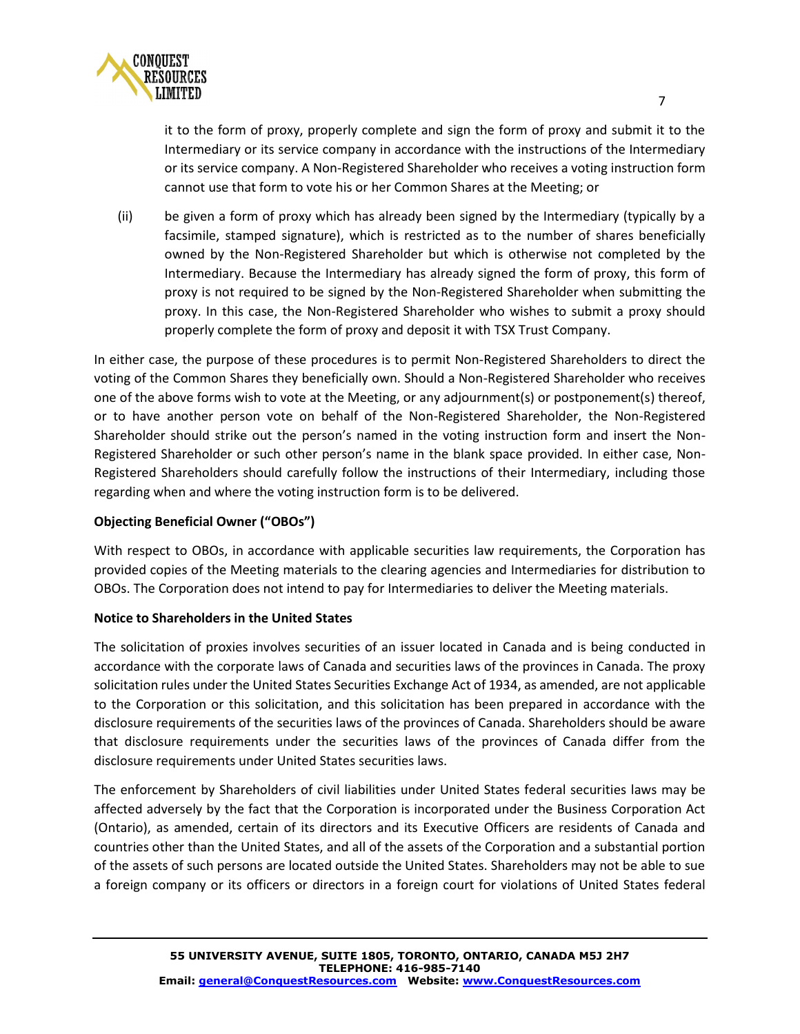

it to the form of proxy, properly complete and sign the form of proxy and submit it to the Intermediary or its service company in accordance with the instructions of the Intermediary or its service company. A Non-Registered Shareholder who receives a voting instruction form cannot use that form to vote his or her Common Shares at the Meeting; or

(ii) be given a form of proxy which has already been signed by the Intermediary (typically by a facsimile, stamped signature), which is restricted as to the number of shares beneficially owned by the Non-Registered Shareholder but which is otherwise not completed by the Intermediary. Because the Intermediary has already signed the form of proxy, this form of proxy is not required to be signed by the Non-Registered Shareholder when submitting the proxy. In this case, the Non-Registered Shareholder who wishes to submit a proxy should properly complete the form of proxy and deposit it with TSX Trust Company.

In either case, the purpose of these procedures is to permit Non-Registered Shareholders to direct the voting of the Common Shares they beneficially own. Should a Non-Registered Shareholder who receives one of the above forms wish to vote at the Meeting, or any adjournment(s) or postponement(s) thereof, or to have another person vote on behalf of the Non-Registered Shareholder, the Non-Registered Shareholder should strike out the person's named in the voting instruction form and insert the Non-Registered Shareholder or such other person's name in the blank space provided. In either case, Non-Registered Shareholders should carefully follow the instructions of their Intermediary, including those regarding when and where the voting instruction form is to be delivered.

# **Objecting Beneficial Owner ("OBOs")**

With respect to OBOs, in accordance with applicable securities law requirements, the Corporation has provided copies of the Meeting materials to the clearing agencies and Intermediaries for distribution to OBOs. The Corporation does not intend to pay for Intermediaries to deliver the Meeting materials.

## **Notice to Shareholders in the United States**

The solicitation of proxies involves securities of an issuer located in Canada and is being conducted in accordance with the corporate laws of Canada and securities laws of the provinces in Canada. The proxy solicitation rules under the United States Securities Exchange Act of 1934, as amended, are not applicable to the Corporation or this solicitation, and this solicitation has been prepared in accordance with the disclosure requirements of the securities laws of the provinces of Canada. Shareholders should be aware that disclosure requirements under the securities laws of the provinces of Canada differ from the disclosure requirements under United States securities laws.

The enforcement by Shareholders of civil liabilities under United States federal securities laws may be affected adversely by the fact that the Corporation is incorporated under the Business Corporation Act (Ontario), as amended, certain of its directors and its Executive Officers are residents of Canada and countries other than the United States, and all of the assets of the Corporation and a substantial portion of the assets of such persons are located outside the United States. Shareholders may not be able to sue a foreign company or its officers or directors in a foreign court for violations of United States federal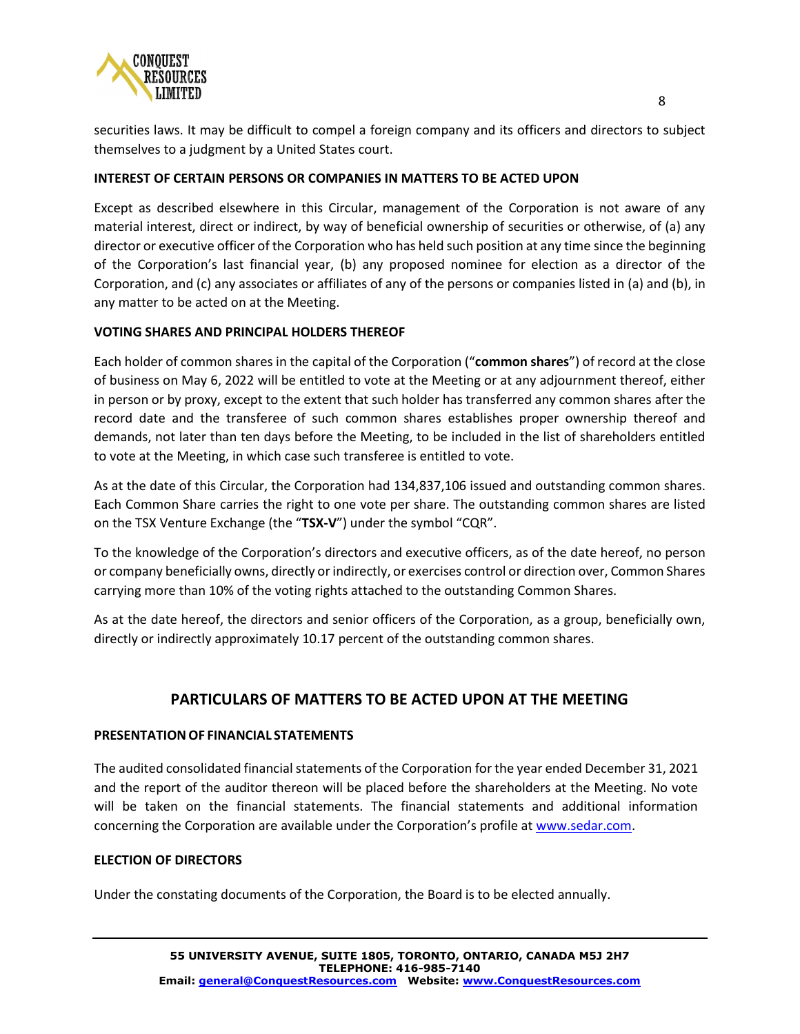

securities laws. It may be difficult to compel a foreign company and its officers and directors to subject themselves to a judgment by a United States court.

## **INTEREST OF CERTAIN PERSONS OR COMPANIES IN MATTERS TO BE ACTED UPON**

Except as described elsewhere in this Circular, management of the Corporation is not aware of any material interest, direct or indirect, by way of beneficial ownership of securities or otherwise, of (a) any director or executive officer of the Corporation who has held such position at any time since the beginning of the Corporation's last financial year, (b) any proposed nominee for election as a director of the Corporation, and (c) any associates or affiliates of any of the persons or companies listed in (a) and (b), in any matter to be acted on at the Meeting.

#### **VOTING SHARES AND PRINCIPAL HOLDERS THEREOF**

Each holder of common shares in the capital of the Corporation ("**common shares**") of record at the close of business on May 6, 2022 will be entitled to vote at the Meeting or at any adjournment thereof, either in person or by proxy, except to the extent that such holder has transferred any common shares after the record date and the transferee of such common shares establishes proper ownership thereof and demands, not later than ten days before the Meeting, to be included in the list of shareholders entitled to vote at the Meeting, in which case such transferee is entitled to vote.

As at the date of this Circular, the Corporation had 134,837,106 issued and outstanding common shares. Each Common Share carries the right to one vote per share. The outstanding common shares are listed on the TSX Venture Exchange (the "**TSX-V**") under the symbol "CQR".

To the knowledge of the Corporation's directors and executive officers, as of the date hereof, no person or company beneficially owns, directly or indirectly, or exercises control or direction over, Common Shares carrying more than 10% of the voting rights attached to the outstanding Common Shares.

As at the date hereof, the directors and senior officers of the Corporation, as a group, beneficially own, directly or indirectly approximately 10.17 percent of the outstanding common shares.

# **PARTICULARS OF MATTERS TO BE ACTED UPON AT THE MEETING**

#### **PRESENTATIONOF FINANCIAL STATEMENTS**

The audited consolidated financial statements of the Corporation for the year ended December 31, 2021 and the report of the auditor thereon will be placed before the shareholders at the Meeting. No vote will be taken on the financial statements. The financial statements and additional information concerning the Corporation are available under the Corporation's profile at [www.sedar.com.](http://www.sedar.com/)

#### **ELECTION OF DIRECTORS**

Under the constating documents of the Corporation, the Board is to be elected annually.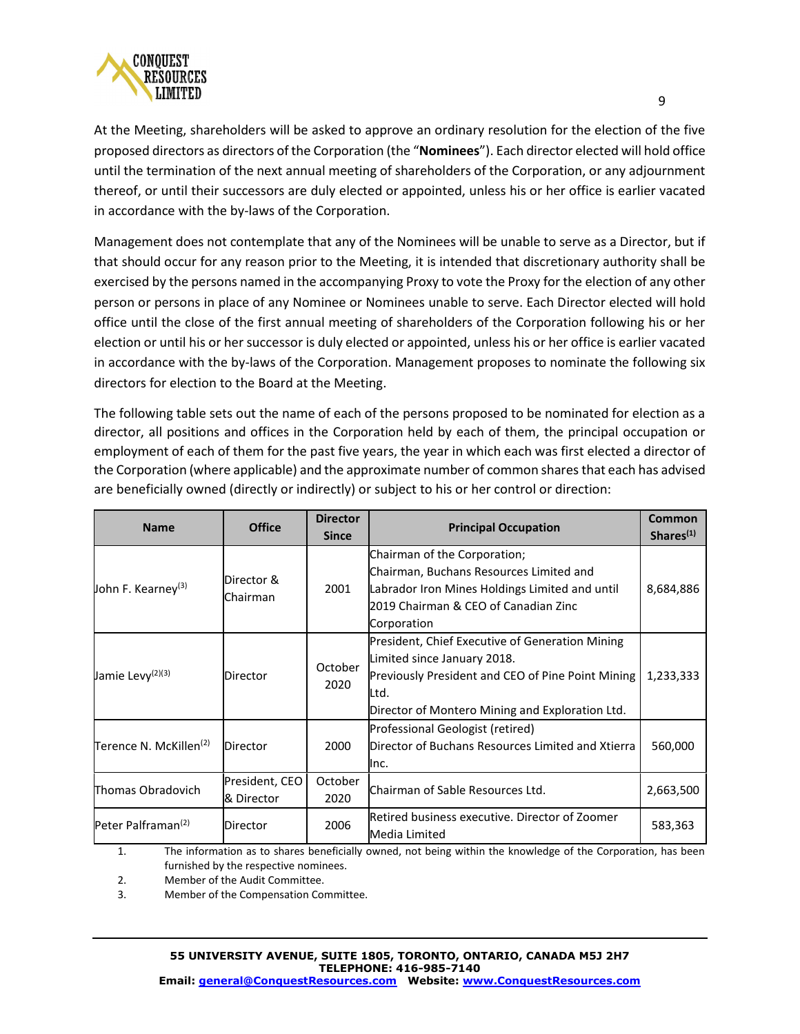

At the Meeting, shareholders will be asked to approve an ordinary resolution for the election of the five proposed directors as directors of the Corporation (the "**Nominees**"). Each director elected will hold office until the termination of the next annual meeting of shareholders of the Corporation, or any adjournment thereof, or until their successors are duly elected or appointed, unless his or her office is earlier vacated in accordance with the by-laws of the Corporation.

Management does not contemplate that any of the Nominees will be unable to serve as a Director, but if that should occur for any reason prior to the Meeting, it is intended that discretionary authority shall be exercised by the persons named in the accompanying Proxy to vote the Proxy for the election of any other person or persons in place of any Nominee or Nominees unable to serve. Each Director elected will hold office until the close of the first annual meeting of shareholders of the Corporation following his or her election or until his or her successor is duly elected or appointed, unless his or her office is earlier vacated in accordance with the by-laws of the Corporation. Management proposes to nominate the following six directors for election to the Board at the Meeting.

The following table sets out the name of each of the persons proposed to be nominated for election as a director, all positions and offices in the Corporation held by each of them, the principal occupation or employment of each of them for the past five years, the year in which each was first elected a director of the Corporation (where applicable) and the approximate number of common sharesthat each has advised are beneficially owned (directly or indirectly) or subject to his or her control or direction:

| <b>Name</b>                        | <b>Office</b>                | <b>Director</b><br><b>Since</b> | <b>Principal Occupation</b>                                                                                                                                                                    | Common<br>Shares <sup>(1)</sup> |
|------------------------------------|------------------------------|---------------------------------|------------------------------------------------------------------------------------------------------------------------------------------------------------------------------------------------|---------------------------------|
| John F. Kearney <sup>(3)</sup>     | Director &<br>Chairman       | 2001                            | Chairman of the Corporation;<br>Chairman, Buchans Resources Limited and<br>Labrador Iron Mines Holdings Limited and until<br>2019 Chairman & CEO of Canadian Zinc<br>Corporation               | 8,684,886                       |
| Jamie Levy <sup>(2)(3)</sup>       | Director                     | October<br>2020                 | President, Chief Executive of Generation Mining<br>Limited since January 2018.<br>Previously President and CEO of Pine Point Mining<br>Ltd.<br>Director of Montero Mining and Exploration Ltd. | 1,233,333                       |
| Terence N. McKillen <sup>(2)</sup> | <b>Director</b>              | 2000                            | Professional Geologist (retired)<br>Director of Buchans Resources Limited and Xtierra<br>llnc.                                                                                                 | 560,000                         |
| Thomas Obradovich                  | President, CEO<br>& Director | October<br>2020                 | Chairman of Sable Resources Ltd.                                                                                                                                                               | 2,663,500                       |
| Peter Palframan <sup>(2)</sup>     | Director                     | 2006                            | Retired business executive. Director of Zoomer<br>Media Limited                                                                                                                                | 583,363                         |

1. The information as to shares beneficially owned, not being within the knowledge of the Corporation, has been furnished by the respective nominees.

2. Member of the Audit Committee.

3. Member of the Compensation Committee.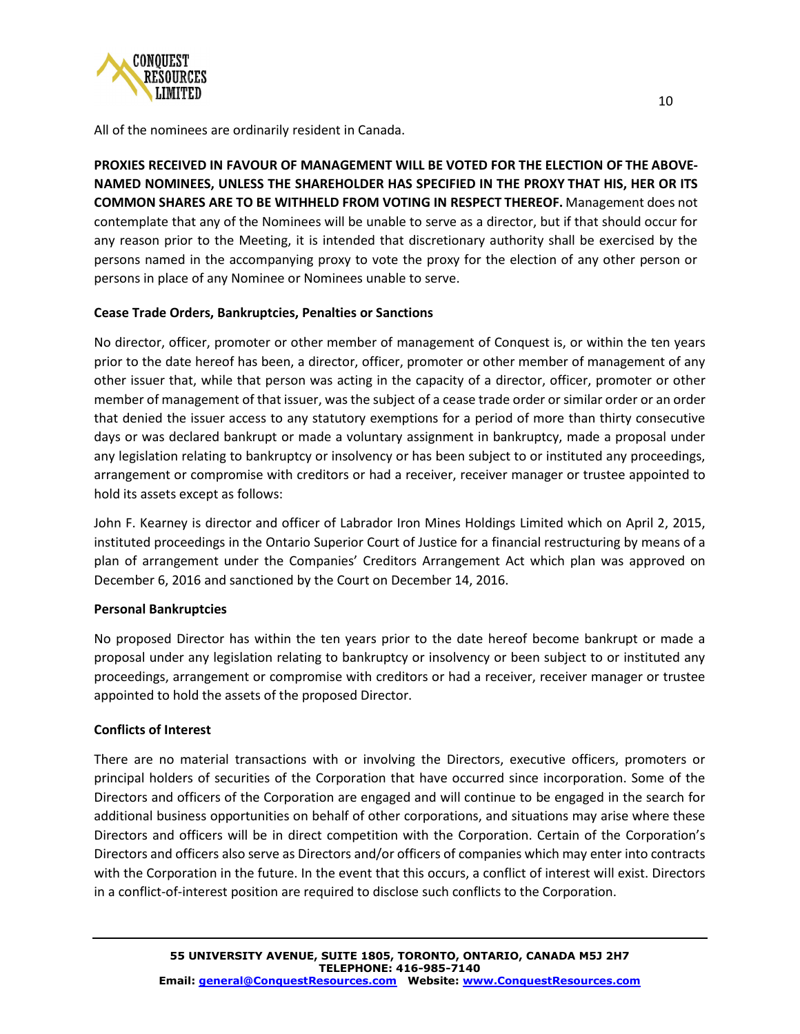

All of the nominees are ordinarily resident in Canada.

**PROXIES RECEIVED IN FAVOUR OF MANAGEMENT WILL BE VOTED FOR THE ELECTION OF THE ABOVE-NAMED NOMINEES, UNLESS THE SHAREHOLDER HAS SPECIFIED IN THE PROXY THAT HIS, HER OR ITS COMMON SHARES ARE TO BE WITHHELD FROM VOTING IN RESPECT THEREOF.** Management does not contemplate that any of the Nominees will be unable to serve as a director, but if that should occur for any reason prior to the Meeting, it is intended that discretionary authority shall be exercised by the persons named in the accompanying proxy to vote the proxy for the election of any other person or persons in place of any Nominee or Nominees unable to serve.

## **Cease Trade Orders, Bankruptcies, Penalties or Sanctions**

No director, officer, promoter or other member of management of Conquest is, or within the ten years prior to the date hereof has been, a director, officer, promoter or other member of management of any other issuer that, while that person was acting in the capacity of a director, officer, promoter or other member of management of that issuer, was the subject of a cease trade order or similar order or an order that denied the issuer access to any statutory exemptions for a period of more than thirty consecutive days or was declared bankrupt or made a voluntary assignment in bankruptcy, made a proposal under any legislation relating to bankruptcy or insolvency or has been subject to or instituted any proceedings, arrangement or compromise with creditors or had a receiver, receiver manager or trustee appointed to hold its assets except as follows:

John F. Kearney is director and officer of Labrador Iron Mines Holdings Limited which on April 2, 2015, instituted proceedings in the Ontario Superior Court of Justice for a financial restructuring by means of a plan of arrangement under the Companies' Creditors Arrangement Act which plan was approved on December 6, 2016 and sanctioned by the Court on December 14, 2016.

## **Personal Bankruptcies**

No proposed Director has within the ten years prior to the date hereof become bankrupt or made a proposal under any legislation relating to bankruptcy or insolvency or been subject to or instituted any proceedings, arrangement or compromise with creditors or had a receiver, receiver manager or trustee appointed to hold the assets of the proposed Director.

# **Conflicts of Interest**

There are no material transactions with or involving the Directors, executive officers, promoters or principal holders of securities of the Corporation that have occurred since incorporation. Some of the Directors and officers of the Corporation are engaged and will continue to be engaged in the search for additional business opportunities on behalf of other corporations, and situations may arise where these Directors and officers will be in direct competition with the Corporation. Certain of the Corporation's Directors and officers also serve as Directors and/or officers of companies which may enter into contracts with the Corporation in the future. In the event that this occurs, a conflict of interest will exist. Directors in a conflict-of-interest position are required to disclose such conflicts to the Corporation.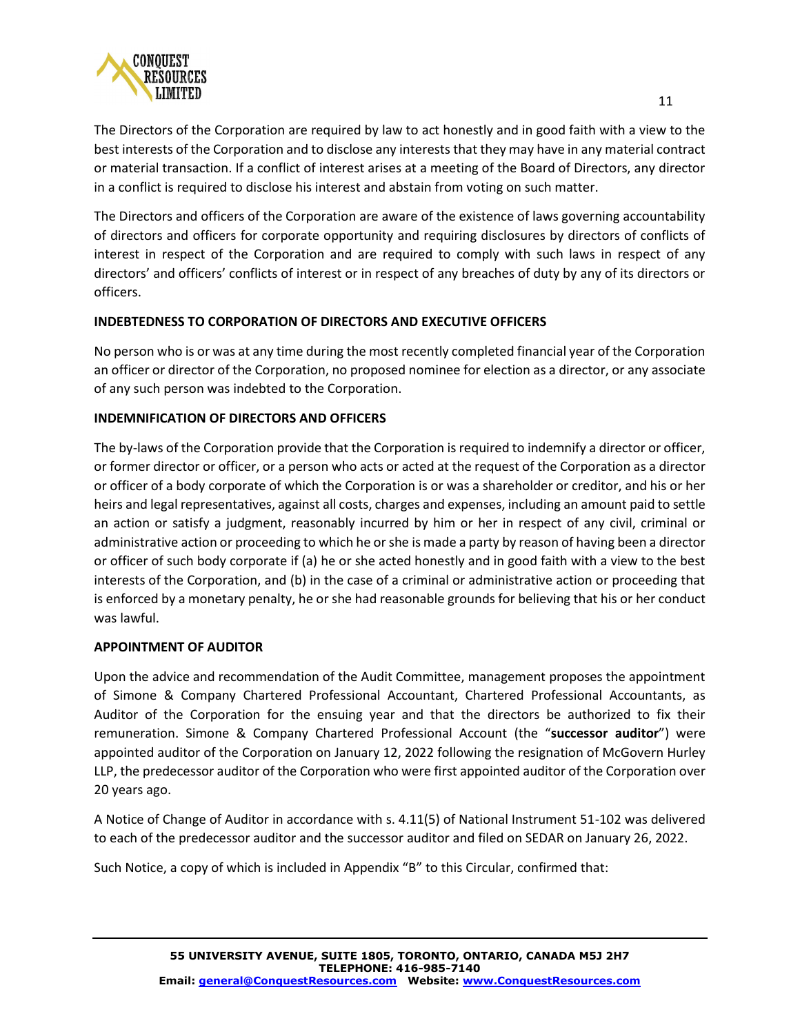

The Directors and officers of the Corporation are aware of the existence of laws governing accountability of directors and officers for corporate opportunity and requiring disclosures by directors of conflicts of interest in respect of the Corporation and are required to comply with such laws in respect of any directors' and officers' conflicts of interest or in respect of any breaches of duty by any of its directors or officers.

# **INDEBTEDNESS TO CORPORATION OF DIRECTORS AND EXECUTIVE OFFICERS**

No person who is or was at any time during the most recently completed financial year of the Corporation an officer or director of the Corporation, no proposed nominee for election as a director, or any associate of any such person was indebted to the Corporation.

## **INDEMNIFICATION OF DIRECTORS AND OFFICERS**

The by-laws of the Corporation provide that the Corporation is required to indemnify a director or officer, or former director or officer, or a person who acts or acted at the request of the Corporation as a director or officer of a body corporate of which the Corporation is or was a shareholder or creditor, and his or her heirs and legal representatives, against all costs, charges and expenses, including an amount paid to settle an action or satisfy a judgment, reasonably incurred by him or her in respect of any civil, criminal or administrative action or proceeding to which he or she is made a party by reason of having been a director or officer of such body corporate if (a) he or she acted honestly and in good faith with a view to the best interests of the Corporation, and (b) in the case of a criminal or administrative action or proceeding that is enforced by a monetary penalty, he or she had reasonable grounds for believing that his or her conduct was lawful.

## **APPOINTMENT OF AUDITOR**

Upon the advice and recommendation of the Audit Committee, management proposes the appointment of Simone & Company Chartered Professional Accountant, Chartered Professional Accountants, as Auditor of the Corporation for the ensuing year and that the directors be authorized to fix their remuneration. Simone & Company Chartered Professional Account (the "**successor auditor**") were appointed auditor of the Corporation on January 12, 2022 following the resignation of McGovern Hurley LLP, the predecessor auditor of the Corporation who were first appointed auditor of the Corporation over 20 years ago.

A Notice of Change of Auditor in accordance with s. 4.11(5) of National Instrument 51-102 was delivered to each of the predecessor auditor and the successor auditor and filed on SEDAR on January 26, 2022.

Such Notice, a copy of which is included in Appendix "B" to this Circular, confirmed that: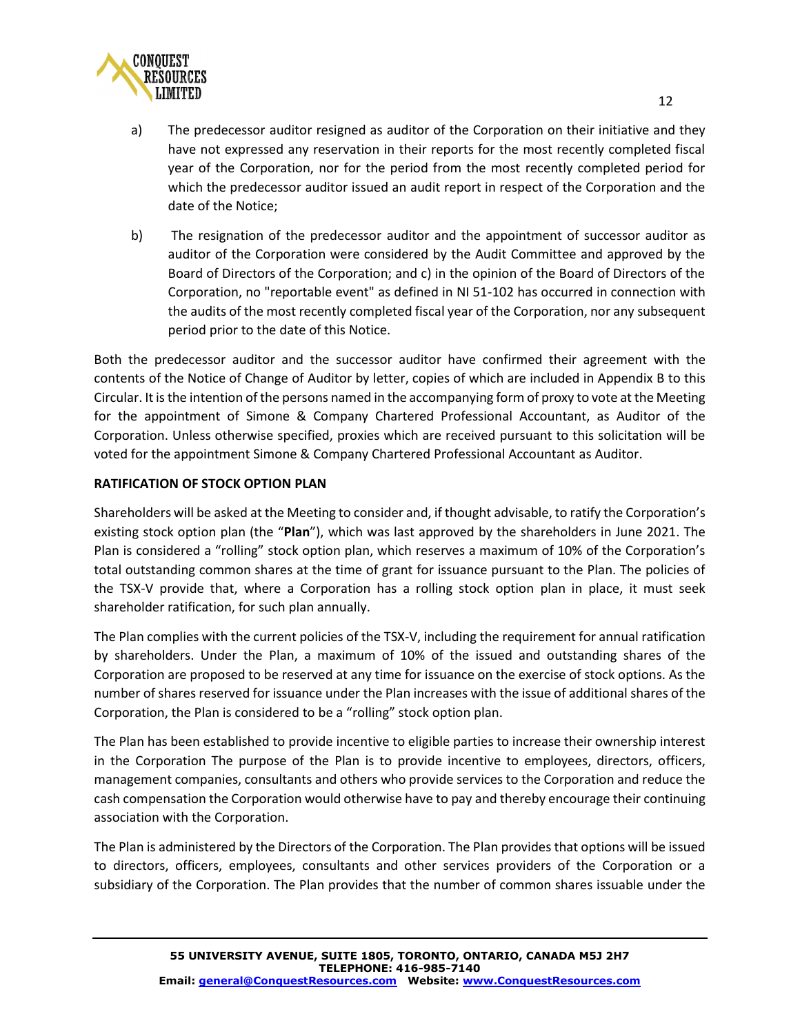

- a) The predecessor auditor resigned as auditor of the Corporation on their initiative and they have not expressed any reservation in their reports for the most recently completed fiscal year of the Corporation, nor for the period from the most recently completed period for which the predecessor auditor issued an audit report in respect of the Corporation and the date of the Notice;
- b) The resignation of the predecessor auditor and the appointment of successor auditor as auditor of the Corporation were considered by the Audit Committee and approved by the Board of Directors of the Corporation; and c) in the opinion of the Board of Directors of the Corporation, no "reportable event" as defined in NI 51-102 has occurred in connection with the audits of the most recently completed fiscal year of the Corporation, nor any subsequent period prior to the date of this Notice.

Both the predecessor auditor and the successor auditor have confirmed their agreement with the contents of the Notice of Change of Auditor by letter, copies of which are included in Appendix B to this Circular. It is the intention of the persons named in the accompanying form of proxy to vote at the Meeting for the appointment of Simone & Company Chartered Professional Accountant, as Auditor of the Corporation. Unless otherwise specified, proxies which are received pursuant to this solicitation will be voted for the appointment Simone & Company Chartered Professional Accountant as Auditor.

## **RATIFICATION OF STOCK OPTION PLAN**

Shareholders will be asked at the Meeting to consider and, if thought advisable, to ratify the Corporation's existing stock option plan (the "**Plan**"), which was last approved by the shareholders in June 2021. The Plan is considered a "rolling" stock option plan, which reserves a maximum of 10% of the Corporation's total outstanding common shares at the time of grant for issuance pursuant to the Plan. The policies of the TSX-V provide that, where a Corporation has a rolling stock option plan in place, it must seek shareholder ratification, for such plan annually.

The Plan complies with the current policies of the TSX-V, including the requirement for annual ratification by shareholders. Under the Plan, a maximum of 10% of the issued and outstanding shares of the Corporation are proposed to be reserved at any time for issuance on the exercise of stock options. As the number of shares reserved for issuance under the Plan increases with the issue of additional shares of the Corporation, the Plan is considered to be a "rolling" stock option plan.

The Plan has been established to provide incentive to eligible parties to increase their ownership interest in the Corporation The purpose of the Plan is to provide incentive to employees, directors, officers, management companies, consultants and others who provide services to the Corporation and reduce the cash compensation the Corporation would otherwise have to pay and thereby encourage their continuing association with the Corporation.

The Plan is administered by the Directors of the Corporation. The Plan provides that options will be issued to directors, officers, employees, consultants and other services providers of the Corporation or a subsidiary of the Corporation. The Plan provides that the number of common shares issuable under the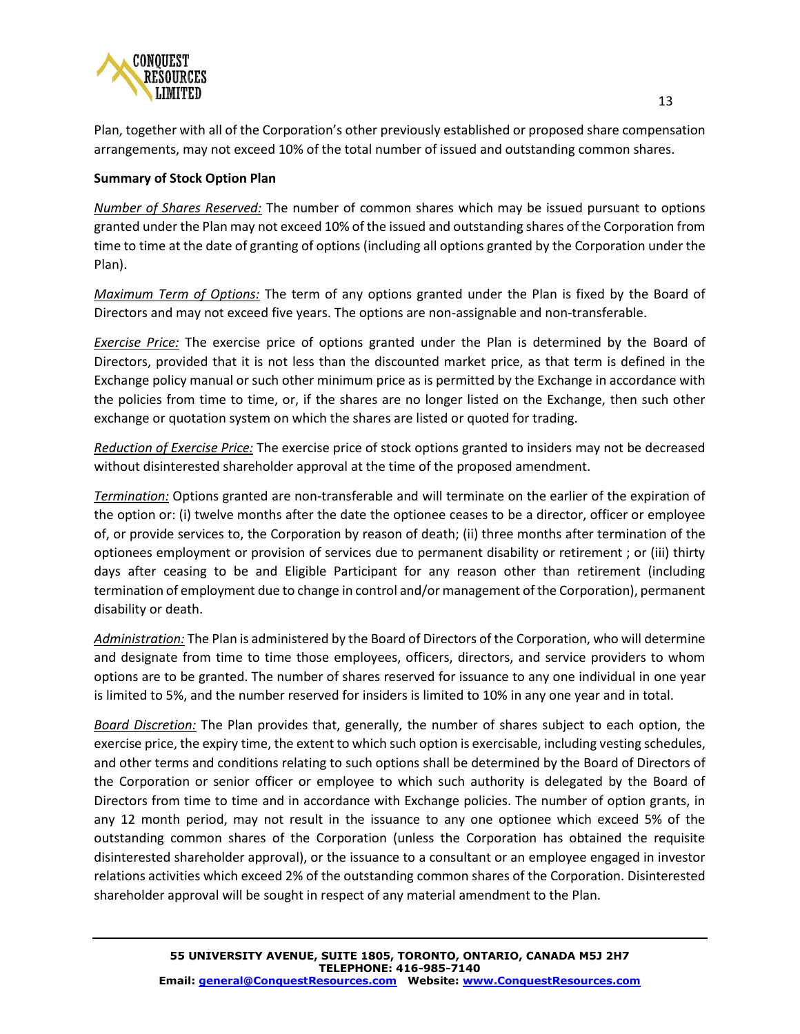

Plan, together with all of the Corporation's other previously established or proposed share compensation arrangements, may not exceed 10% of the total number of issued and outstanding common shares.

## **Summary of Stock Option Plan**

*Number of Shares Reserved:* The number of common shares which may be issued pursuant to options granted under the Plan may not exceed 10% of the issued and outstanding shares of the Corporation from time to time at the date of granting of options (including all options granted by the Corporation under the Plan).

*Maximum Term of Options:* The term of any options granted under the Plan is fixed by the Board of Directors and may not exceed five years. The options are non-assignable and non-transferable.

*Exercise Price:* The exercise price of options granted under the Plan is determined by the Board of Directors, provided that it is not less than the discounted market price, as that term is defined in the Exchange policy manual or such other minimum price as is permitted by the Exchange in accordance with the policies from time to time, or, if the shares are no longer listed on the Exchange, then such other exchange or quotation system on which the shares are listed or quoted for trading.

*Reduction of Exercise Price:* The exercise price of stock options granted to insiders may not be decreased without disinterested shareholder approval at the time of the proposed amendment.

*Termination:* Options granted are non-transferable and will terminate on the earlier of the expiration of the option or: (i) twelve months after the date the optionee ceases to be a director, officer or employee of, or provide services to, the Corporation by reason of death; (ii) three months after termination of the optionees employment or provision of services due to permanent disability or retirement ; or (iii) thirty days after ceasing to be and Eligible Participant for any reason other than retirement (including termination of employment due to change in control and/or management of the Corporation), permanent disability or death.

*Administration:* The Plan is administered by the Board of Directors of the Corporation, who will determine and designate from time to time those employees, officers, directors, and service providers to whom options are to be granted. The number of shares reserved for issuance to any one individual in one year is limited to 5%, and the number reserved for insiders is limited to 10% in any one year and in total.

*Board Discretion:* The Plan provides that, generally, the number of shares subject to each option, the exercise price, the expiry time, the extent to which such option is exercisable, including vesting schedules, and other terms and conditions relating to such options shall be determined by the Board of Directors of the Corporation or senior officer or employee to which such authority is delegated by the Board of Directors from time to time and in accordance with Exchange policies. The number of option grants, in any 12 month period, may not result in the issuance to any one optionee which exceed 5% of the outstanding common shares of the Corporation (unless the Corporation has obtained the requisite disinterested shareholder approval), or the issuance to a consultant or an employee engaged in investor relations activities which exceed 2% of the outstanding common shares of the Corporation. Disinterested shareholder approval will be sought in respect of any material amendment to the Plan.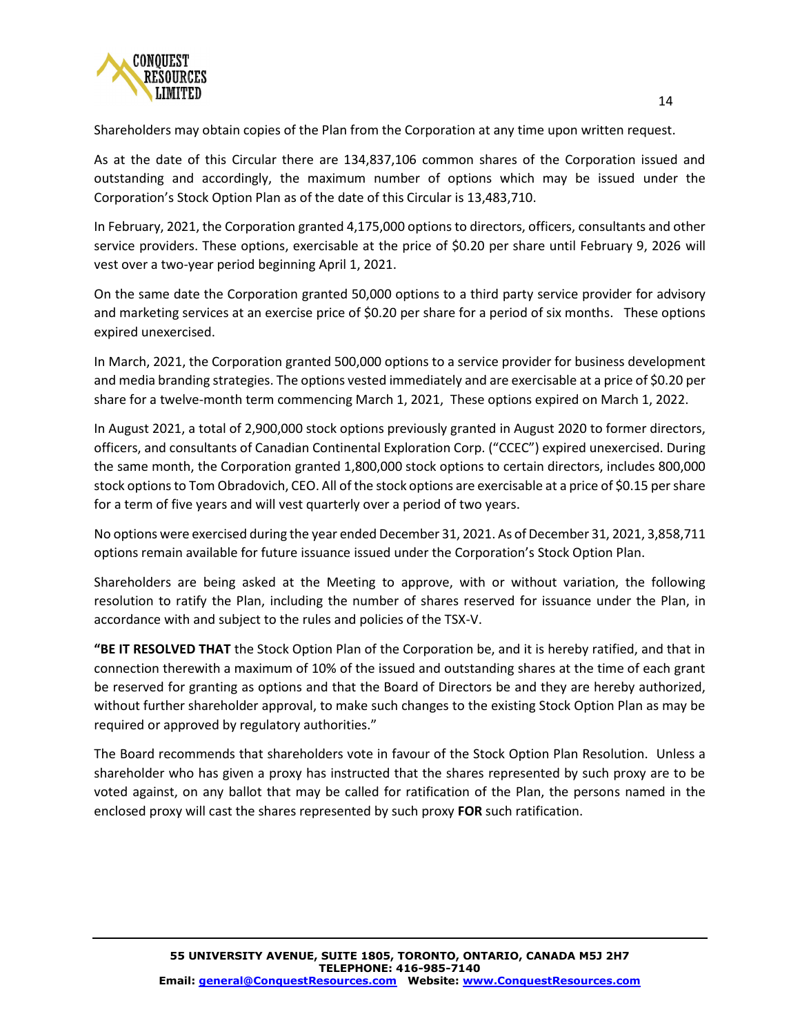

Shareholders may obtain copies of the Plan from the Corporation at any time upon written request.

As at the date of this Circular there are 134,837,106 common shares of the Corporation issued and outstanding and accordingly, the maximum number of options which may be issued under the Corporation's Stock Option Plan as of the date of this Circular is 13,483,710.

In February, 2021, the Corporation granted 4,175,000 options to directors, officers, consultants and other service providers. These options, exercisable at the price of \$0.20 per share until February 9, 2026 will vest over a two-year period beginning April 1, 2021.

On the same date the Corporation granted 50,000 options to a third party service provider for advisory and marketing services at an exercise price of \$0.20 per share for a period of six months. These options expired unexercised.

In March, 2021, the Corporation granted 500,000 options to a service provider for business development and media branding strategies. The options vested immediately and are exercisable at a price of \$0.20 per share for a twelve-month term commencing March 1, 2021, These options expired on March 1, 2022.

In August 2021, a total of 2,900,000 stock options previously granted in August 2020 to former directors, officers, and consultants of Canadian Continental Exploration Corp. ("CCEC") expired unexercised. During the same month, the Corporation granted 1,800,000 stock options to certain directors, includes 800,000 stock options to Tom Obradovich, CEO. All of the stock options are exercisable at a price of \$0.15 per share for a term of five years and will vest quarterly over a period of two years.

No options were exercised during the year ended December 31, 2021. As of December 31, 2021, 3,858,711 options remain available for future issuance issued under the Corporation's Stock Option Plan.

Shareholders are being asked at the Meeting to approve, with or without variation, the following resolution to ratify the Plan, including the number of shares reserved for issuance under the Plan, in accordance with and subject to the rules and policies of the TSX-V.

**"BE IT RESOLVED THAT** the Stock Option Plan of the Corporation be, and it is hereby ratified, and that in connection therewith a maximum of 10% of the issued and outstanding shares at the time of each grant be reserved for granting as options and that the Board of Directors be and they are hereby authorized, without further shareholder approval, to make such changes to the existing Stock Option Plan as may be required or approved by regulatory authorities."

The Board recommends that shareholders vote in favour of the Stock Option Plan Resolution. Unless a shareholder who has given a proxy has instructed that the shares represented by such proxy are to be voted against, on any ballot that may be called for ratification of the Plan, the persons named in the enclosed proxy will cast the shares represented by such proxy **FOR** such ratification.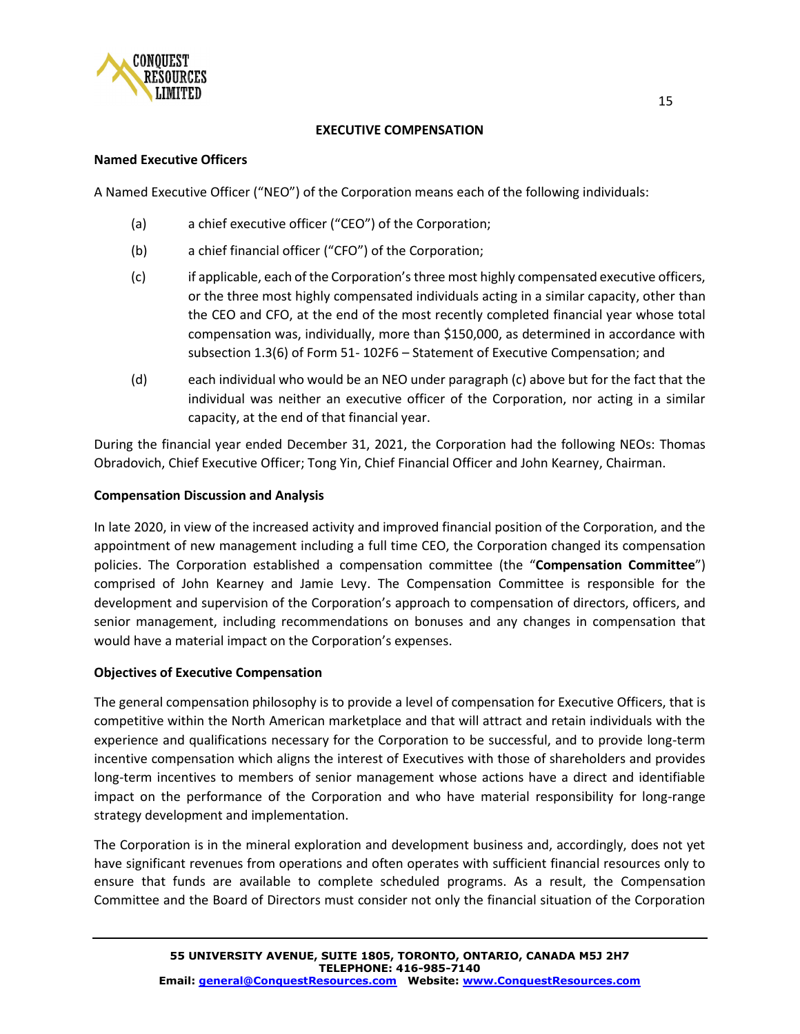

## **EXECUTIVE COMPENSATION**

#### **Named Executive Officers**

A Named Executive Officer ("NEO") of the Corporation means each of the following individuals:

- (a) a chief executive officer ("CEO") of the Corporation;
- (b) a chief financial officer ("CFO") of the Corporation;
- (c) if applicable, each of the Corporation's three most highly compensated executive officers, or the three most highly compensated individuals acting in a similar capacity, other than the CEO and CFO, at the end of the most recently completed financial year whose total compensation was, individually, more than \$150,000, as determined in accordance with subsection 1.3(6) of Form 51- 102F6 – Statement of Executive Compensation; and
- (d) each individual who would be an NEO under paragraph (c) above but for the fact that the individual was neither an executive officer of the Corporation, nor acting in a similar capacity, at the end of that financial year.

During the financial year ended December 31, 2021, the Corporation had the following NEOs: Thomas Obradovich, Chief Executive Officer; Tong Yin, Chief Financial Officer and John Kearney, Chairman.

## **Compensation Discussion and Analysis**

In late 2020, in view of the increased activity and improved financial position of the Corporation, and the appointment of new management including a full time CEO, the Corporation changed its compensation policies. The Corporation established a compensation committee (the "**Compensation Committee**") comprised of John Kearney and Jamie Levy. The Compensation Committee is responsible for the development and supervision of the Corporation's approach to compensation of directors, officers, and senior management, including recommendations on bonuses and any changes in compensation that would have a material impact on the Corporation's expenses.

## **Objectives of Executive Compensation**

The general compensation philosophy is to provide a level of compensation for Executive Officers, that is competitive within the North American marketplace and that will attract and retain individuals with the experience and qualifications necessary for the Corporation to be successful, and to provide long-term incentive compensation which aligns the interest of Executives with those of shareholders and provides long-term incentives to members of senior management whose actions have a direct and identifiable impact on the performance of the Corporation and who have material responsibility for long-range strategy development and implementation.

The Corporation is in the mineral exploration and development business and, accordingly, does not yet have significant revenues from operations and often operates with sufficient financial resources only to ensure that funds are available to complete scheduled programs. As a result, the Compensation Committee and the Board of Directors must consider not only the financial situation of the Corporation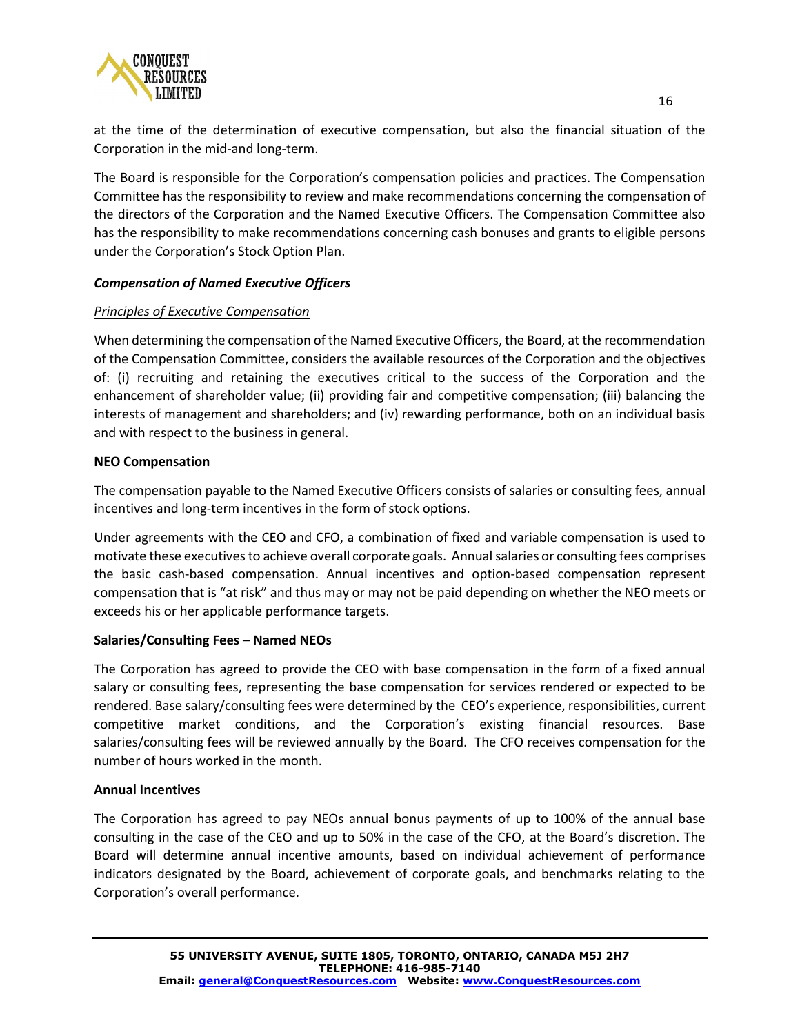

at the time of the determination of executive compensation, but also the financial situation of the Corporation in the mid-and long-term.

The Board is responsible for the Corporation's compensation policies and practices. The Compensation Committee has the responsibility to review and make recommendations concerning the compensation of the directors of the Corporation and the Named Executive Officers. The Compensation Committee also has the responsibility to make recommendations concerning cash bonuses and grants to eligible persons under the Corporation's Stock Option Plan.

## *Compensation of Named Executive Officers*

## *Principles of Executive Compensation*

When determining the compensation of the Named Executive Officers, the Board, at the recommendation of the Compensation Committee, considers the available resources of the Corporation and the objectives of: (i) recruiting and retaining the executives critical to the success of the Corporation and the enhancement of shareholder value; (ii) providing fair and competitive compensation; (iii) balancing the interests of management and shareholders; and (iv) rewarding performance, both on an individual basis and with respect to the business in general.

## **NEO Compensation**

The compensation payable to the Named Executive Officers consists of salaries or consulting fees, annual incentives and long-term incentives in the form of stock options.

Under agreements with the CEO and CFO, a combination of fixed and variable compensation is used to motivate these executives to achieve overall corporate goals. Annual salaries or consulting fees comprises the basic cash-based compensation. Annual incentives and option-based compensation represent compensation that is "at risk" and thus may or may not be paid depending on whether the NEO meets or exceeds his or her applicable performance targets.

## **Salaries/Consulting Fees – Named NEOs**

The Corporation has agreed to provide the CEO with base compensation in the form of a fixed annual salary or consulting fees, representing the base compensation for services rendered or expected to be rendered. Base salary/consulting fees were determined by the CEO's experience, responsibilities, current competitive market conditions, and the Corporation's existing financial resources. Base salaries/consulting fees will be reviewed annually by the Board. The CFO receives compensation for the number of hours worked in the month.

## **Annual Incentives**

The Corporation has agreed to pay NEOs annual bonus payments of up to 100% of the annual base consulting in the case of the CEO and up to 50% in the case of the CFO, at the Board's discretion. The Board will determine annual incentive amounts, based on individual achievement of performance indicators designated by the Board, achievement of corporate goals, and benchmarks relating to the Corporation's overall performance.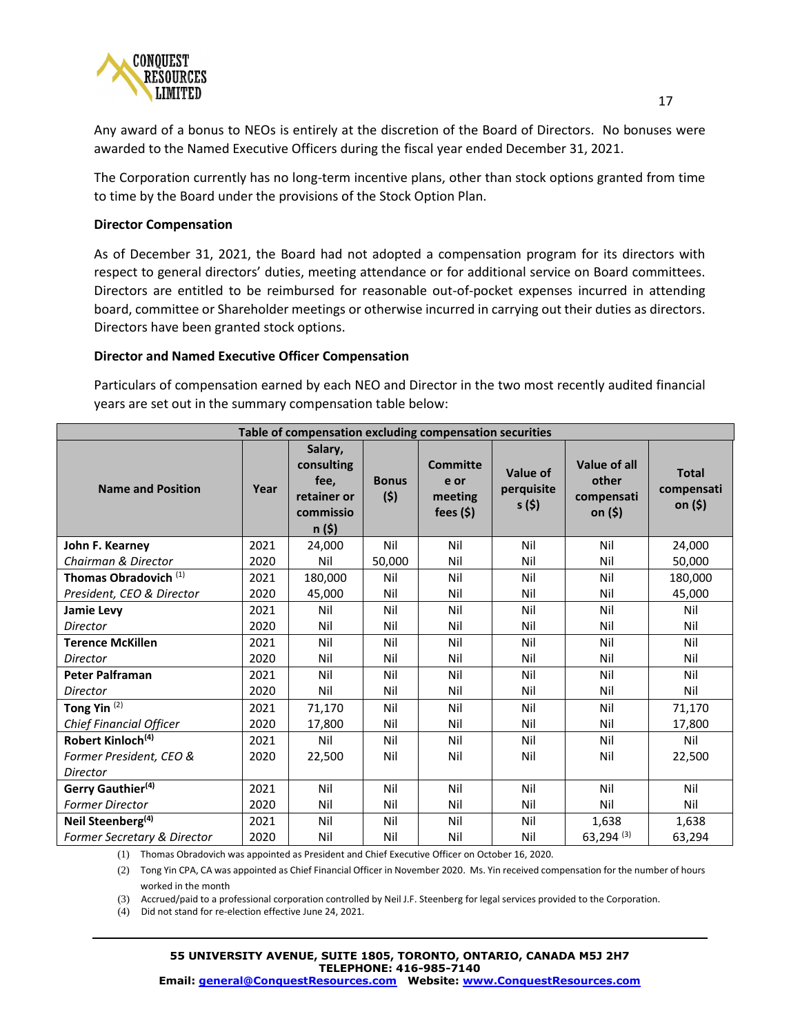

Any award of a bonus to NEOs is entirely at the discretion of the Board of Directors. No bonuses were awarded to the Named Executive Officers during the fiscal year ended December 31, 2021.

The Corporation currently has no long-term incentive plans, other than stock options granted from time to time by the Board under the provisions of the Stock Option Plan.

#### **Director Compensation**

As of December 31, 2021, the Board had not adopted a compensation program for its directors with respect to general directors' duties, meeting attendance or for additional service on Board committees. Directors are entitled to be reimbursed for reasonable out-of-pocket expenses incurred in attending board, committee or Shareholder meetings or otherwise incurred in carrying out their duties as directors. Directors have been granted stock options.

#### **Director and Named Executive Officer Compensation**

Particulars of compensation earned by each NEO and Director in the two most recently audited financial years are set out in the summary compensation table below:

| Table of compensation excluding compensation securities |      |                                                                     |                     |                                                  |                                         |                                                |                                       |
|---------------------------------------------------------|------|---------------------------------------------------------------------|---------------------|--------------------------------------------------|-----------------------------------------|------------------------------------------------|---------------------------------------|
| <b>Name and Position</b>                                | Year | Salary,<br>consulting<br>fee,<br>retainer or<br>commissio<br>n (\$) | <b>Bonus</b><br>(5) | <b>Committe</b><br>e or<br>meeting<br>fees $(5)$ | <b>Value of</b><br>perquisite<br>s (\$) | Value of all<br>other<br>compensati<br>on (\$) | <b>Total</b><br>compensati<br>on (\$) |
| John F. Kearney                                         | 2021 | 24,000                                                              | Nil                 | Nil                                              | Nil                                     | Nil                                            | 24,000                                |
| Chairman & Director                                     | 2020 | Nil                                                                 | 50,000              | Nil                                              | Nil                                     | Nil                                            | 50,000                                |
| Thomas Obradovich <sup>(1)</sup>                        | 2021 | 180,000                                                             | Nil                 | Nil                                              | Nil                                     | Nil                                            | 180,000                               |
| President, CEO & Director                               | 2020 | 45,000                                                              | Nil                 | Nil                                              | Nil                                     | Nil                                            | 45,000                                |
| <b>Jamie Levy</b>                                       | 2021 | Nil                                                                 | Nil                 | Nil                                              | Nil                                     | Nil                                            | Nil                                   |
| <b>Director</b>                                         | 2020 | Nil                                                                 | Nil                 | Nil                                              | Nil                                     | Nil                                            | Nil                                   |
| <b>Terence McKillen</b>                                 | 2021 | Nil                                                                 | Nil                 | Nil                                              | Nil                                     | Nil                                            | Nil                                   |
| <b>Director</b>                                         | 2020 | Nil                                                                 | Nil                 | Nil                                              | Nil                                     | Nil                                            | Nil                                   |
| <b>Peter Palframan</b>                                  | 2021 | Nil                                                                 | Nil                 | Nil                                              | Nil                                     | Nil                                            | Nil                                   |
| <b>Director</b>                                         | 2020 | Nil                                                                 | Nil                 | Nil                                              | Nil                                     | Nil                                            | Nil                                   |
| Tong Yin <sup>(2)</sup>                                 | 2021 | 71,170                                                              | Nil                 | Nil                                              | Nil                                     | Nil                                            | 71,170                                |
| <b>Chief Financial Officer</b>                          | 2020 | 17,800                                                              | Nil                 | Nil                                              | Nil                                     | Nil                                            | 17,800                                |
| Robert Kinloch <sup>(4)</sup>                           | 2021 | Nil                                                                 | Nil                 | Nil                                              | Nil                                     | Nil                                            | Nil                                   |
| Former President, CEO &                                 | 2020 | 22,500                                                              | Nil                 | Nil                                              | Nil                                     | Nil                                            | 22,500                                |
| <b>Director</b>                                         |      |                                                                     |                     |                                                  |                                         |                                                |                                       |
| Gerry Gauthier <sup>(4)</sup>                           | 2021 | Nil                                                                 | Nil                 | Nil                                              | Nil                                     | Nil                                            | Nil                                   |
| <b>Former Director</b>                                  | 2020 | Nil                                                                 | Nil                 | Nil                                              | Nil                                     | Nil                                            | Nil                                   |
| Neil Steenberg <sup>(4)</sup>                           | 2021 | Nil                                                                 | Nil                 | Nil                                              | Nil                                     | 1,638                                          | 1,638                                 |
| Former Secretary & Director                             | 2020 | Nil                                                                 | Nil                 | Nil                                              | Nil                                     | $63,294$ <sup>(3)</sup>                        | 63,294                                |

(1) Thomas Obradovich was appointed as President and Chief Executive Officer on October 16, 2020.

(2) Tong Yin CPA, CA was appointed as Chief Financial Officer in November 2020. Ms. Yin received compensation for the number of hours worked in the month

(3) Accrued/paid to a professional corporation controlled by Neil J.F. Steenberg for legal services provided to the Corporation.

(4) Did not stand for re-election effective June 24, 2021.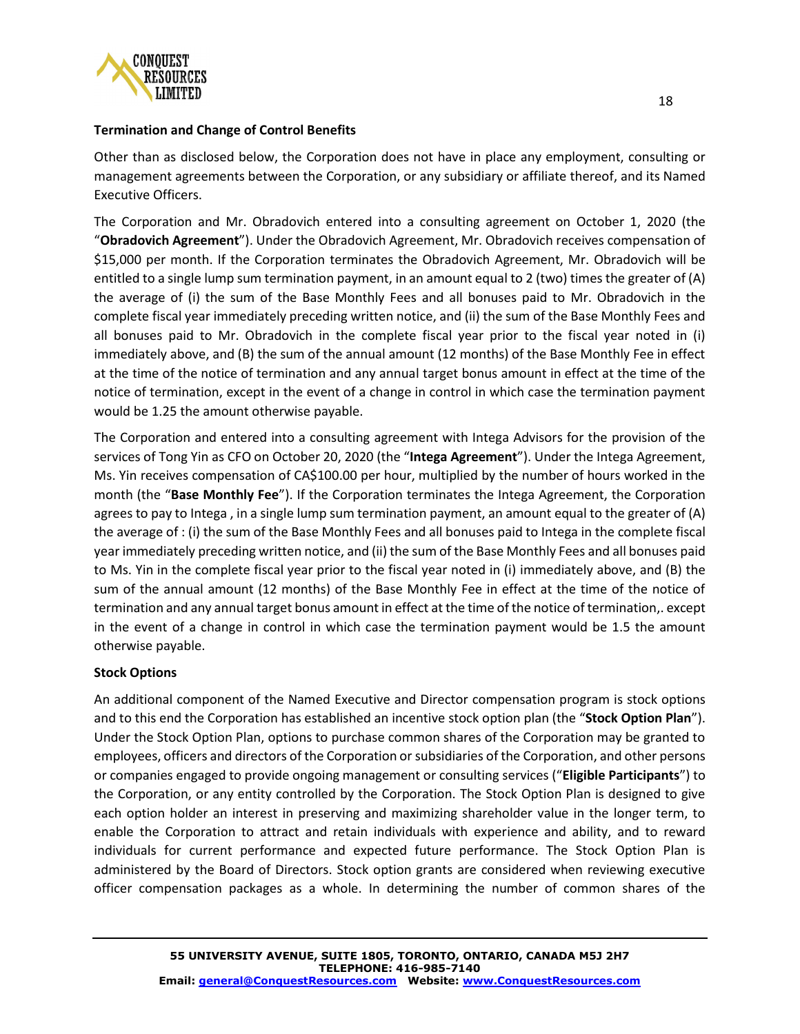

## **Termination and Change of Control Benefits**

Other than as disclosed below, the Corporation does not have in place any employment, consulting or management agreements between the Corporation, or any subsidiary or affiliate thereof, and its Named Executive Officers.

The Corporation and Mr. Obradovich entered into a consulting agreement on October 1, 2020 (the "**Obradovich Agreement**"). Under the Obradovich Agreement, Mr. Obradovich receives compensation of \$15,000 per month. If the Corporation terminates the Obradovich Agreement, Mr. Obradovich will be entitled to a single lump sum termination payment, in an amount equal to 2 (two) times the greater of (A) the average of (i) the sum of the Base Monthly Fees and all bonuses paid to Mr. Obradovich in the complete fiscal year immediately preceding written notice, and (ii) the sum of the Base Monthly Fees and all bonuses paid to Mr. Obradovich in the complete fiscal year prior to the fiscal year noted in (i) immediately above, and (B) the sum of the annual amount (12 months) of the Base Monthly Fee in effect at the time of the notice of termination and any annual target bonus amount in effect at the time of the notice of termination, except in the event of a change in control in which case the termination payment would be 1.25 the amount otherwise payable.

The Corporation and entered into a consulting agreement with Intega Advisors for the provision of the services of Tong Yin as CFO on October 20, 2020 (the "**Intega Agreement**"). Under the Intega Agreement, Ms. Yin receives compensation of CA\$100.00 per hour, multiplied by the number of hours worked in the month (the "**Base Monthly Fee**"). If the Corporation terminates the Intega Agreement, the Corporation agrees to pay to Intega , in a single lump sum termination payment, an amount equal to the greater of (A) the average of : (i) the sum of the Base Monthly Fees and all bonuses paid to Intega in the complete fiscal year immediately preceding written notice, and (ii) the sum of the Base Monthly Fees and all bonuses paid to Ms. Yin in the complete fiscal year prior to the fiscal year noted in (i) immediately above, and (B) the sum of the annual amount (12 months) of the Base Monthly Fee in effect at the time of the notice of termination and any annual target bonus amount in effect at the time of the notice of termination,. except in the event of a change in control in which case the termination payment would be 1.5 the amount otherwise payable.

# **Stock Options**

An additional component of the Named Executive and Director compensation program is stock options and to this end the Corporation has established an incentive stock option plan (the "**Stock Option Plan**"). Under the Stock Option Plan, options to purchase common shares of the Corporation may be granted to employees, officers and directors of the Corporation or subsidiaries of the Corporation, and other persons or companies engaged to provide ongoing management or consulting services ("**Eligible Participants**") to the Corporation, or any entity controlled by the Corporation. The Stock Option Plan is designed to give each option holder an interest in preserving and maximizing shareholder value in the longer term, to enable the Corporation to attract and retain individuals with experience and ability, and to reward individuals for current performance and expected future performance. The Stock Option Plan is administered by the Board of Directors. Stock option grants are considered when reviewing executive officer compensation packages as a whole. In determining the number of common shares of the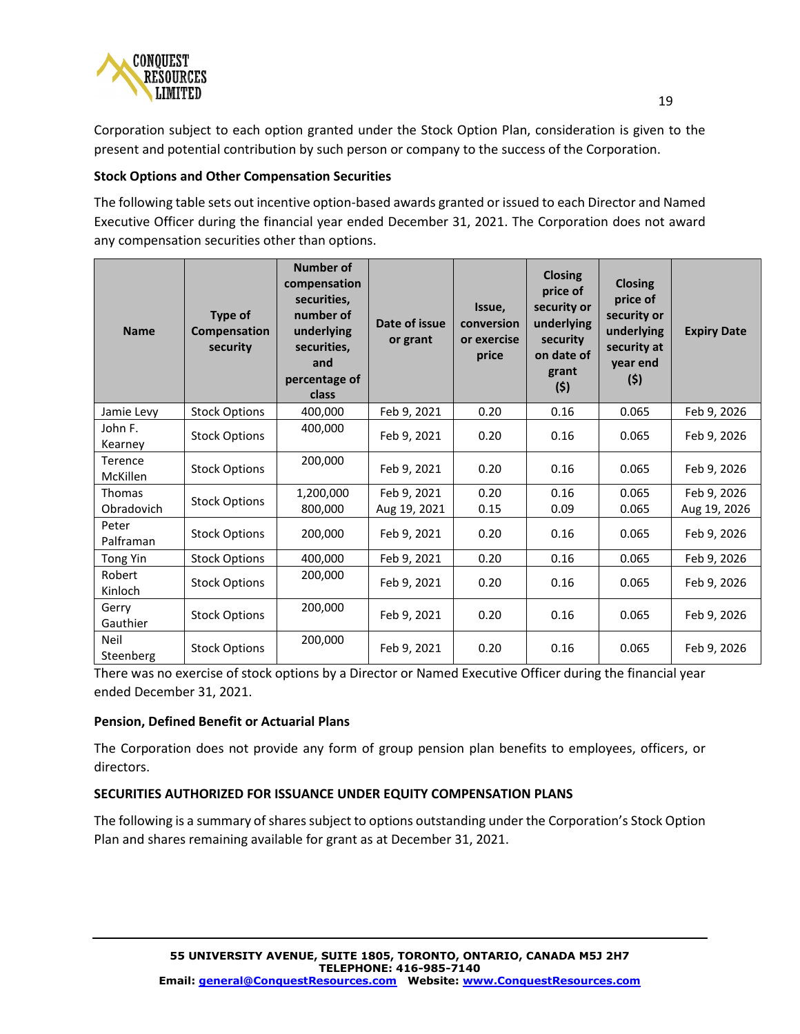

Corporation subject to each option granted under the Stock Option Plan, consideration is given to the present and potential contribution by such person or company to the success of the Corporation.

## **Stock Options and Other Compensation Securities**

The following table sets out incentive option-based awards granted or issued to each Director and Named Executive Officer during the financial year ended December 31, 2021. The Corporation does not award any compensation securities other than options.

| <b>Name</b>                       | Type of<br>Compensation<br>security | <b>Number of</b><br>compensation<br>securities.<br>number of<br>underlying<br>securities,<br>and<br>percentage of<br>class | Date of issue<br>or grant   | Issue,<br>conversion<br>or exercise<br>price | <b>Closing</b><br>price of<br>security or<br>underlying<br>security<br>on date of<br>grant<br>(5) | <b>Closing</b><br>price of<br>security or<br>underlying<br>security at<br>year end<br>(5) | <b>Expiry Date</b>          |
|-----------------------------------|-------------------------------------|----------------------------------------------------------------------------------------------------------------------------|-----------------------------|----------------------------------------------|---------------------------------------------------------------------------------------------------|-------------------------------------------------------------------------------------------|-----------------------------|
| Jamie Levy                        | <b>Stock Options</b>                | 400,000                                                                                                                    | Feb 9, 2021                 | 0.20                                         | 0.16                                                                                              | 0.065                                                                                     | Feb 9, 2026                 |
| John F.<br>Kearney                | <b>Stock Options</b>                | 400,000                                                                                                                    | Feb 9, 2021                 | 0.20                                         | 0.16                                                                                              | 0.065                                                                                     | Feb 9, 2026                 |
| <b>Terence</b><br><b>McKillen</b> | <b>Stock Options</b>                | 200,000                                                                                                                    | Feb 9, 2021                 | 0.20                                         | 0.16                                                                                              | 0.065                                                                                     | Feb 9, 2026                 |
| <b>Thomas</b><br>Obradovich       | <b>Stock Options</b>                | 1,200,000<br>800,000                                                                                                       | Feb 9, 2021<br>Aug 19, 2021 | 0.20<br>0.15                                 | 0.16<br>0.09                                                                                      | 0.065<br>0.065                                                                            | Feb 9, 2026<br>Aug 19, 2026 |
| Peter<br>Palframan                | <b>Stock Options</b>                | 200,000                                                                                                                    | Feb 9, 2021                 | 0.20                                         | 0.16                                                                                              | 0.065                                                                                     | Feb 9, 2026                 |
| <b>Tong Yin</b>                   | <b>Stock Options</b>                | 400,000                                                                                                                    | Feb 9, 2021                 | 0.20                                         | 0.16                                                                                              | 0.065                                                                                     | Feb 9, 2026                 |
| Robert<br>Kinloch                 | <b>Stock Options</b>                | 200,000                                                                                                                    | Feb 9, 2021                 | 0.20                                         | 0.16                                                                                              | 0.065                                                                                     | Feb 9, 2026                 |
| Gerry<br>Gauthier                 | <b>Stock Options</b>                | 200,000                                                                                                                    | Feb 9, 2021                 | 0.20                                         | 0.16                                                                                              | 0.065                                                                                     | Feb 9, 2026                 |
| Neil<br>Steenberg                 | <b>Stock Options</b>                | 200,000                                                                                                                    | Feb 9, 2021                 | 0.20                                         | 0.16                                                                                              | 0.065                                                                                     | Feb 9, 2026                 |

There was no exercise of stock options by a Director or Named Executive Officer during the financial year ended December 31, 2021.

## **Pension, Defined Benefit or Actuarial Plans**

The Corporation does not provide any form of group pension plan benefits to employees, officers, or directors.

# **SECURITIES AUTHORIZED FOR ISSUANCE UNDER EQUITY COMPENSATION PLANS**

The following is a summary of shares subject to options outstanding under the Corporation's Stock Option Plan and shares remaining available for grant as at December 31, 2021.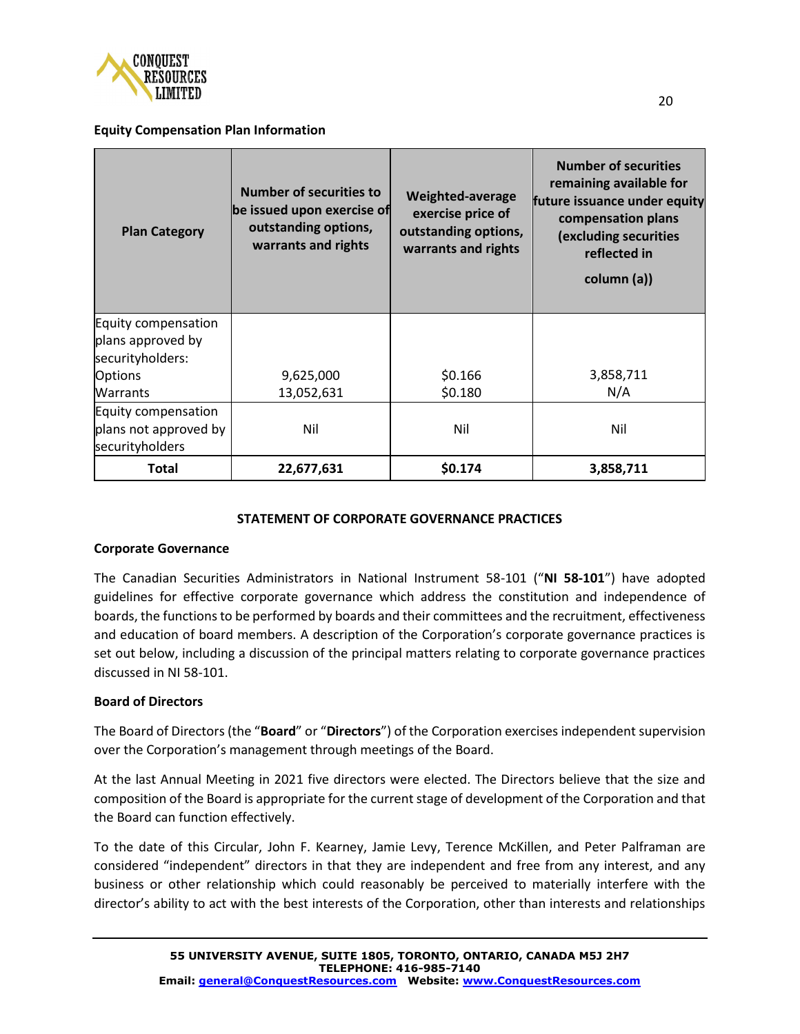

#### **Equity Compensation Plan Information**

| <b>Plan Category</b>  | <b>Number of securities to</b><br>be issued upon exercise of<br>outstanding options,<br>warrants and rights | Weighted-average<br>exercise price of<br>outstanding options,<br>warrants and rights | <b>Number of securities</b><br>remaining available for<br>future issuance under equity<br>compensation plans<br>(excluding securities<br>reflected in<br>column (a)) |
|-----------------------|-------------------------------------------------------------------------------------------------------------|--------------------------------------------------------------------------------------|----------------------------------------------------------------------------------------------------------------------------------------------------------------------|
| Equity compensation   |                                                                                                             |                                                                                      |                                                                                                                                                                      |
| plans approved by     |                                                                                                             |                                                                                      |                                                                                                                                                                      |
| securityholders:      |                                                                                                             |                                                                                      |                                                                                                                                                                      |
| <b>Options</b>        | 9,625,000                                                                                                   | \$0.166                                                                              | 3,858,711                                                                                                                                                            |
| <b>Warrants</b>       | 13,052,631                                                                                                  | \$0.180                                                                              | N/A                                                                                                                                                                  |
| Equity compensation   |                                                                                                             |                                                                                      |                                                                                                                                                                      |
| plans not approved by | Nil                                                                                                         | Nil                                                                                  | Nil                                                                                                                                                                  |
| securityholders       |                                                                                                             |                                                                                      |                                                                                                                                                                      |
| <b>Total</b>          | 22,677,631                                                                                                  | \$0.174                                                                              | 3,858,711                                                                                                                                                            |

#### **STATEMENT OF CORPORATE GOVERNANCE PRACTICES**

#### **Corporate Governance**

The Canadian Securities Administrators in National Instrument 58-101 ("**NI 58-101**") have adopted guidelines for effective corporate governance which address the constitution and independence of boards, the functions to be performed by boards and their committees and the recruitment, effectiveness and education of board members. A description of the Corporation's corporate governance practices is set out below, including a discussion of the principal matters relating to corporate governance practices discussed in NI 58-101.

## **Board of Directors**

The Board of Directors (the "**Board**" or "**Directors**") of the Corporation exercises independent supervision over the Corporation's management through meetings of the Board.

At the last Annual Meeting in 2021 five directors were elected. The Directors believe that the size and composition of the Board is appropriate for the current stage of development of the Corporation and that the Board can function effectively.

To the date of this Circular, John F. Kearney, Jamie Levy, Terence McKillen, and Peter Palframan are considered "independent" directors in that they are independent and free from any interest, and any business or other relationship which could reasonably be perceived to materially interfere with the director's ability to act with the best interests of the Corporation, other than interests and relationships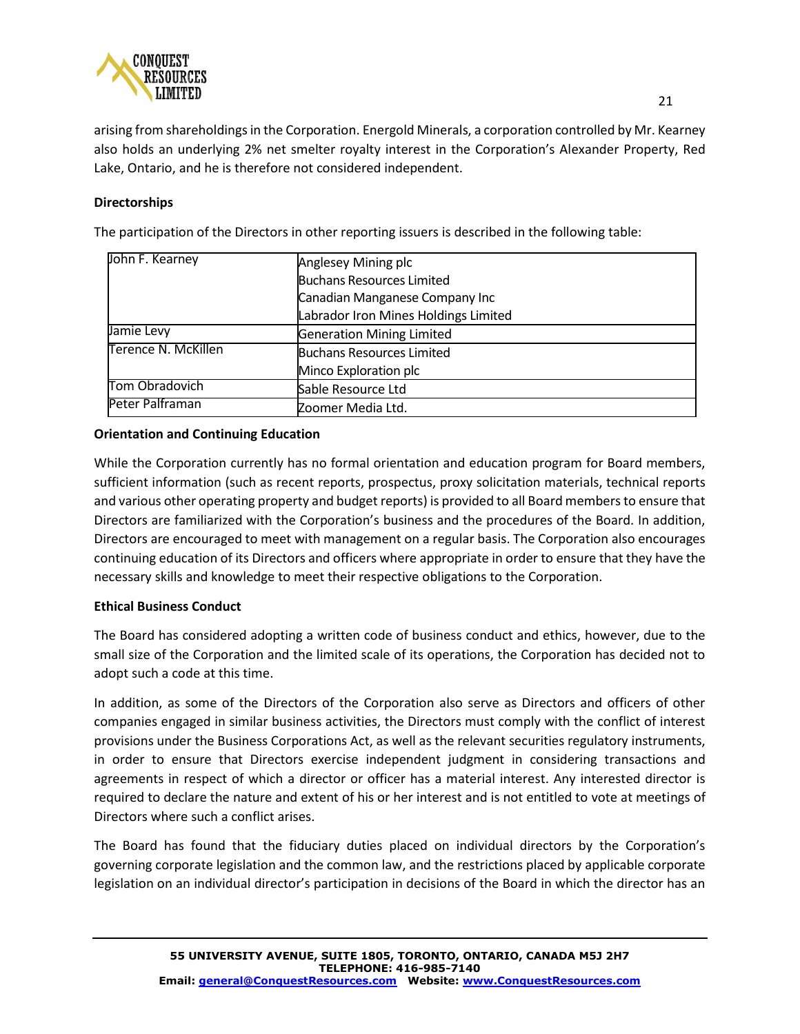

arising from shareholdings in the Corporation. Energold Minerals, a corporation controlled by Mr. Kearney also holds an underlying 2% net smelter royalty interest in the Corporation's Alexander Property, Red Lake, Ontario, and he is therefore not considered independent.

## **Directorships**

The participation of the Directors in other reporting issuers is described in the following table:

| John F. Kearney     | Anglesey Mining plc                  |  |  |  |
|---------------------|--------------------------------------|--|--|--|
|                     | <b>Buchans Resources Limited</b>     |  |  |  |
|                     | Canadian Manganese Company Inc       |  |  |  |
|                     | Labrador Iron Mines Holdings Limited |  |  |  |
| Jamie Levy          | <b>Generation Mining Limited</b>     |  |  |  |
| Terence N. McKillen | Buchans Resources Limited            |  |  |  |
|                     | Minco Exploration plc                |  |  |  |
| Tom Obradovich      | Sable Resource Ltd                   |  |  |  |
| Peter Palframan     | Zoomer Media Ltd.                    |  |  |  |

## **Orientation and Continuing Education**

While the Corporation currently has no formal orientation and education program for Board members, sufficient information (such as recent reports, prospectus, proxy solicitation materials, technical reports and various other operating property and budget reports) is provided to all Board members to ensure that Directors are familiarized with the Corporation's business and the procedures of the Board. In addition, Directors are encouraged to meet with management on a regular basis. The Corporation also encourages continuing education of its Directors and officers where appropriate in order to ensure that they have the necessary skills and knowledge to meet their respective obligations to the Corporation.

## **Ethical Business Conduct**

The Board has considered adopting a written code of business conduct and ethics, however, due to the small size of the Corporation and the limited scale of its operations, the Corporation has decided not to adopt such a code at this time.

In addition, as some of the Directors of the Corporation also serve as Directors and officers of other companies engaged in similar business activities, the Directors must comply with the conflict of interest provisions under the Business Corporations Act, as well as the relevant securities regulatory instruments, in order to ensure that Directors exercise independent judgment in considering transactions and agreements in respect of which a director or officer has a material interest. Any interested director is required to declare the nature and extent of his or her interest and is not entitled to vote at meetings of Directors where such a conflict arises.

The Board has found that the fiduciary duties placed on individual directors by the Corporation's governing corporate legislation and the common law, and the restrictions placed by applicable corporate legislation on an individual director's participation in decisions of the Board in which the director has an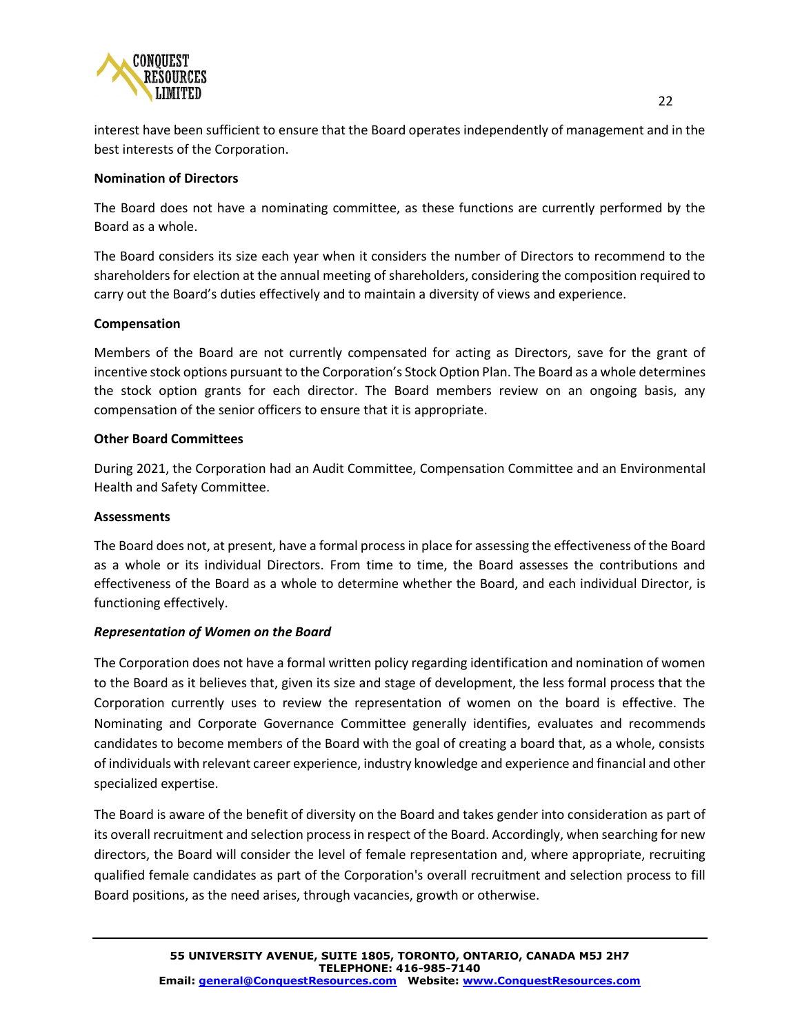

interest have been sufficient to ensure that the Board operates independently of management and in the best interests of the Corporation.

## **Nomination of Directors**

The Board does not have a nominating committee, as these functions are currently performed by the Board as a whole.

The Board considers its size each year when it considers the number of Directors to recommend to the shareholders for election at the annual meeting of shareholders, considering the composition required to carry out the Board's duties effectively and to maintain a diversity of views and experience.

#### **Compensation**

Members of the Board are not currently compensated for acting as Directors, save for the grant of incentive stock options pursuant to the Corporation's Stock Option Plan. The Board as a whole determines the stock option grants for each director. The Board members review on an ongoing basis, any compensation of the senior officers to ensure that it is appropriate.

#### **Other Board Committees**

During 2021, the Corporation had an Audit Committee, Compensation Committee and an Environmental Health and Safety Committee.

#### **Assessments**

The Board does not, at present, have a formal process in place for assessing the effectiveness of the Board as a whole or its individual Directors. From time to time, the Board assesses the contributions and effectiveness of the Board as a whole to determine whether the Board, and each individual Director, is functioning effectively.

## *Representation of Women on the Board*

The Corporation does not have a formal written policy regarding identification and nomination of women to the Board as it believes that, given its size and stage of development, the less formal process that the Corporation currently uses to review the representation of women on the board is effective. The Nominating and Corporate Governance Committee generally identifies, evaluates and recommends candidates to become members of the Board with the goal of creating a board that, as a whole, consists of individuals with relevant career experience, industry knowledge and experience and financial and other specialized expertise.

The Board is aware of the benefit of diversity on the Board and takes gender into consideration as part of its overall recruitment and selection process in respect of the Board. Accordingly, when searching for new directors, the Board will consider the level of female representation and, where appropriate, recruiting qualified female candidates as part of the Corporation's overall recruitment and selection process to fill Board positions, as the need arises, through vacancies, growth or otherwise.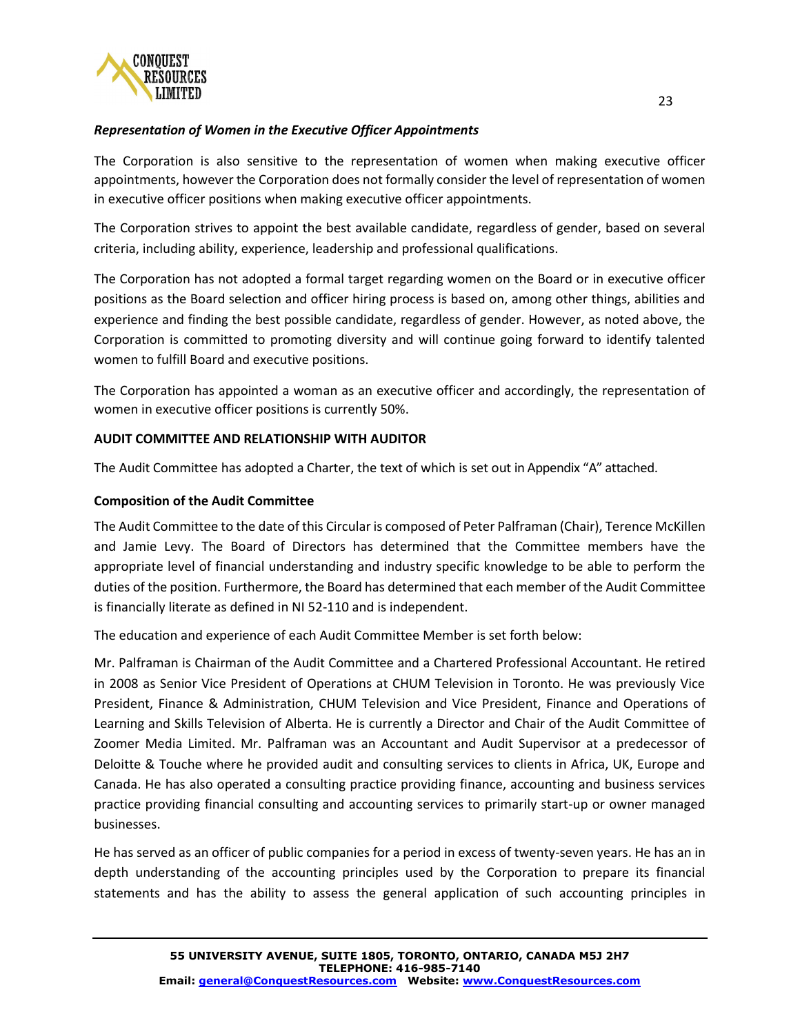

## *Representation of Women in the Executive Officer Appointments*

The Corporation is also sensitive to the representation of women when making executive officer appointments, however the Corporation does not formally consider the level of representation of women in executive officer positions when making executive officer appointments.

The Corporation strives to appoint the best available candidate, regardless of gender, based on several criteria, including ability, experience, leadership and professional qualifications.

The Corporation has not adopted a formal target regarding women on the Board or in executive officer positions as the Board selection and officer hiring process is based on, among other things, abilities and experience and finding the best possible candidate, regardless of gender. However, as noted above, the Corporation is committed to promoting diversity and will continue going forward to identify talented women to fulfill Board and executive positions.

The Corporation has appointed a woman as an executive officer and accordingly, the representation of women in executive officer positions is currently 50%.

## **AUDIT COMMITTEE AND RELATIONSHIP WITH AUDITOR**

The Audit Committee has adopted a Charter, the text of which is set out in Appendix "A" attached.

## **Composition of the Audit Committee**

The Audit Committee to the date of this Circular is composed of Peter Palframan (Chair), Terence McKillen and Jamie Levy. The Board of Directors has determined that the Committee members have the appropriate level of financial understanding and industry specific knowledge to be able to perform the duties of the position. Furthermore, the Board has determined that each member of the Audit Committee is financially literate as defined in NI 52-110 and is independent.

The education and experience of each Audit Committee Member is set forth below:

Mr. Palframan is Chairman of the Audit Committee and a Chartered Professional Accountant. He retired in 2008 as Senior Vice President of Operations at CHUM Television in Toronto. He was previously Vice President, Finance & Administration, CHUM Television and Vice President, Finance and Operations of Learning and Skills Television of Alberta. He is currently a Director and Chair of the Audit Committee of Zoomer Media Limited. Mr. Palframan was an Accountant and Audit Supervisor at a predecessor of Deloitte & Touche where he provided audit and consulting services to clients in Africa, UK, Europe and Canada. He has also operated a consulting practice providing finance, accounting and business services practice providing financial consulting and accounting services to primarily start-up or owner managed businesses.

He has served as an officer of public companies for a period in excess of twenty-seven years. He has an in depth understanding of the accounting principles used by the Corporation to prepare its financial statements and has the ability to assess the general application of such accounting principles in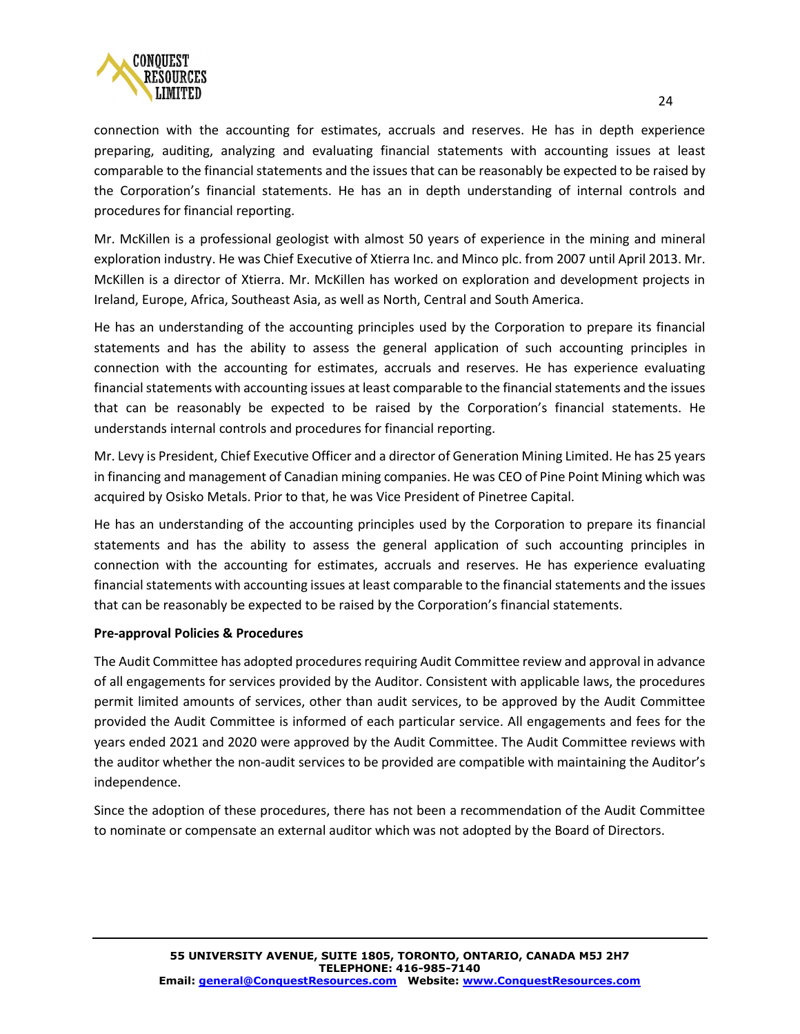

connection with the accounting for estimates, accruals and reserves. He has in depth experience preparing, auditing, analyzing and evaluating financial statements with accounting issues at least comparable to the financial statements and the issues that can be reasonably be expected to be raised by the Corporation's financial statements. He has an in depth understanding of internal controls and procedures for financial reporting.

Mr. McKillen is a professional geologist with almost 50 years of experience in the mining and mineral exploration industry. He was Chief Executive of Xtierra Inc. and Minco plc. from 2007 until April 2013. Mr. McKillen is a director of Xtierra. Mr. McKillen has worked on exploration and development projects in Ireland, Europe, Africa, Southeast Asia, as well as North, Central and South America.

He has an understanding of the accounting principles used by the Corporation to prepare its financial statements and has the ability to assess the general application of such accounting principles in connection with the accounting for estimates, accruals and reserves. He has experience evaluating financial statements with accounting issues at least comparable to the financial statements and the issues that can be reasonably be expected to be raised by the Corporation's financial statements. He understands internal controls and procedures for financial reporting.

Mr. Levy is President, Chief Executive Officer and a director of Generation Mining Limited. He has 25 years in financing and management of Canadian mining companies. He was CEO of Pine Point Mining which was acquired by Osisko Metals. Prior to that, he was Vice President of Pinetree Capital.

He has an understanding of the accounting principles used by the Corporation to prepare its financial statements and has the ability to assess the general application of such accounting principles in connection with the accounting for estimates, accruals and reserves. He has experience evaluating financial statements with accounting issues at least comparable to the financial statements and the issues that can be reasonably be expected to be raised by the Corporation's financial statements.

# **Pre-approval Policies & Procedures**

The Audit Committee has adopted procedures requiring Audit Committee review and approval in advance of all engagements for services provided by the Auditor. Consistent with applicable laws, the procedures permit limited amounts of services, other than audit services, to be approved by the Audit Committee provided the Audit Committee is informed of each particular service. All engagements and fees for the years ended 2021 and 2020 were approved by the Audit Committee. The Audit Committee reviews with the auditor whether the non-audit services to be provided are compatible with maintaining the Auditor's independence.

Since the adoption of these procedures, there has not been a recommendation of the Audit Committee to nominate or compensate an external auditor which was not adopted by the Board of Directors.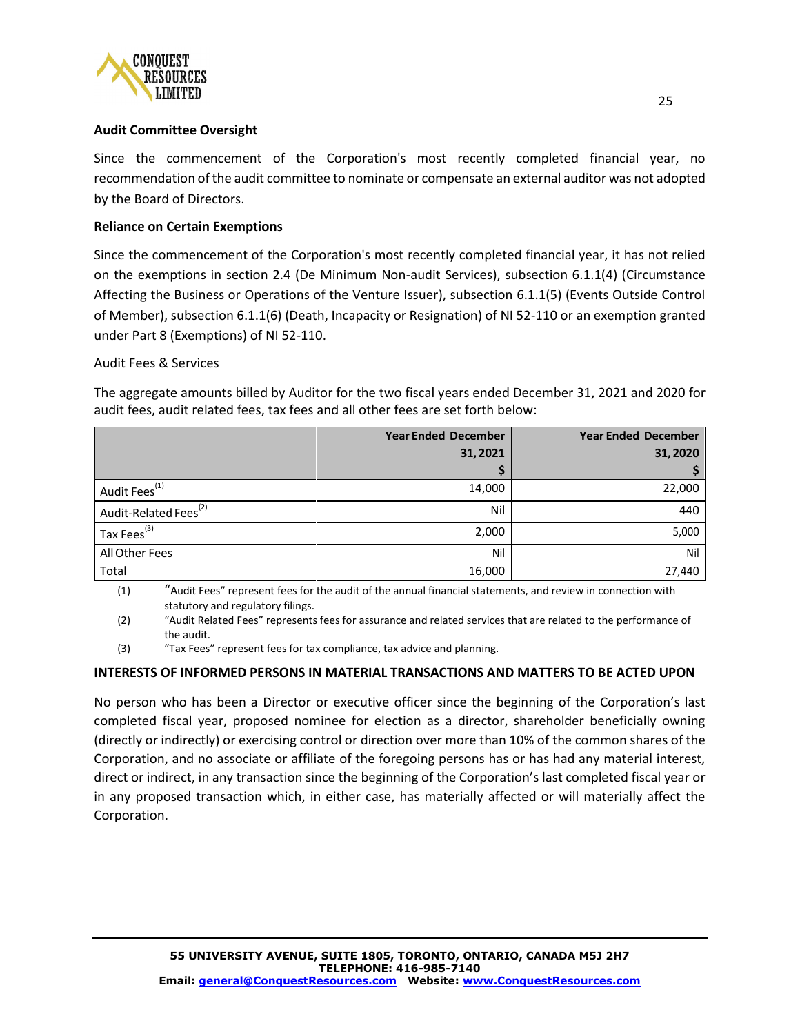

## **Audit Committee Oversight**

Since the commencement of the Corporation's most recently completed financial year, no recommendation of the audit committee to nominate or compensate an external auditor was not adopted by the Board of Directors.

## **Reliance on Certain Exemptions**

Since the commencement of the Corporation's most recently completed financial year, it has not relied on the exemptions in section 2.4 (De Minimum Non-audit Services), subsection 6.1.1(4) (Circumstance Affecting the Business or Operations of the Venture Issuer), subsection 6.1.1(5) (Events Outside Control of Member), subsection 6.1.1(6) (Death, Incapacity or Resignation) of NI 52-110 or an exemption granted under Part 8 (Exemptions) of NI 52-110.

#### Audit Fees & Services

The aggregate amounts billed by Auditor for the two fiscal years ended December 31, 2021 and 2020 for audit fees, audit related fees, tax fees and all other fees are set forth below:

|                                   | <b>Year Ended December</b> | <b>Year Ended December</b> |  |
|-----------------------------------|----------------------------|----------------------------|--|
|                                   | 31,2021                    | 31,2020                    |  |
|                                   |                            |                            |  |
| Audit Fees <sup>(1)</sup>         | 14,000                     | 22,000                     |  |
| Audit-Related Fees <sup>(2)</sup> | Nil                        | 440                        |  |
| Tax Fees <sup>(3)</sup>           | 2,000                      | 5,000                      |  |
| All Other Fees                    | Nil                        | Nil                        |  |
| Total                             | 16,000                     | 27,440                     |  |

(1) "Audit Fees" represent fees for the audit of the annual financial statements, and review in connection with statutory and regulatory filings.

(2) "Audit Related Fees" represents fees for assurance and related services that are related to the performance of the audit.

(3) "Tax Fees" represent fees for tax compliance, tax advice and planning.

#### **INTERESTS OF INFORMED PERSONS IN MATERIAL TRANSACTIONS AND MATTERS TO BE ACTED UPON**

No person who has been a Director or executive officer since the beginning of the Corporation's last completed fiscal year, proposed nominee for election as a director, shareholder beneficially owning (directly or indirectly) or exercising control or direction over more than 10% of the common shares of the Corporation, and no associate or affiliate of the foregoing persons has or has had any material interest, direct or indirect, in any transaction since the beginning of the Corporation's last completed fiscal year or in any proposed transaction which, in either case, has materially affected or will materially affect the Corporation.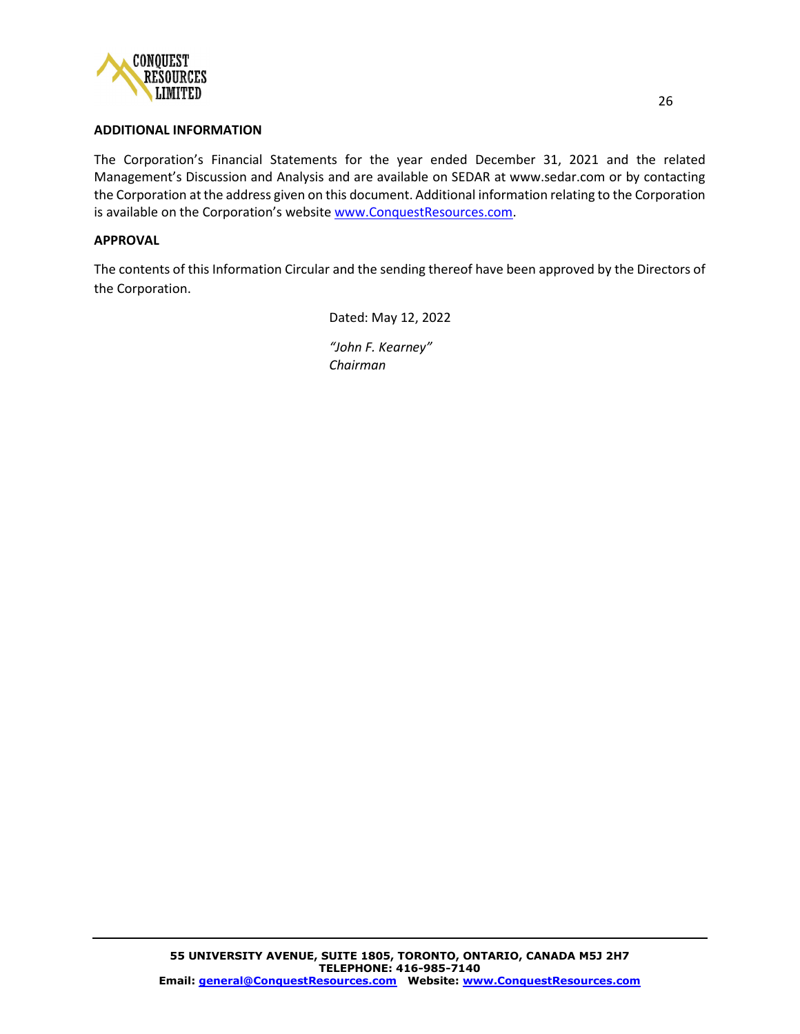

#### **ADDITIONAL INFORMATION**

The Corporation's Financial Statements for the year ended December 31, 2021 and the related Management's Discussion and Analysis and are available on SEDAR at www.sedar.com or by contacting the Corporation at the address given on this document. Additional information relating to the Corporation is available on the Corporation's website [www.ConquestResources.com.](http://www.conquestresources.com/)

#### **APPROVAL**

The contents of this Information Circular and the sending thereof have been approved by the Directors of the Corporation.

Dated: May 12, 2022

*"John F. Kearney" Chairman*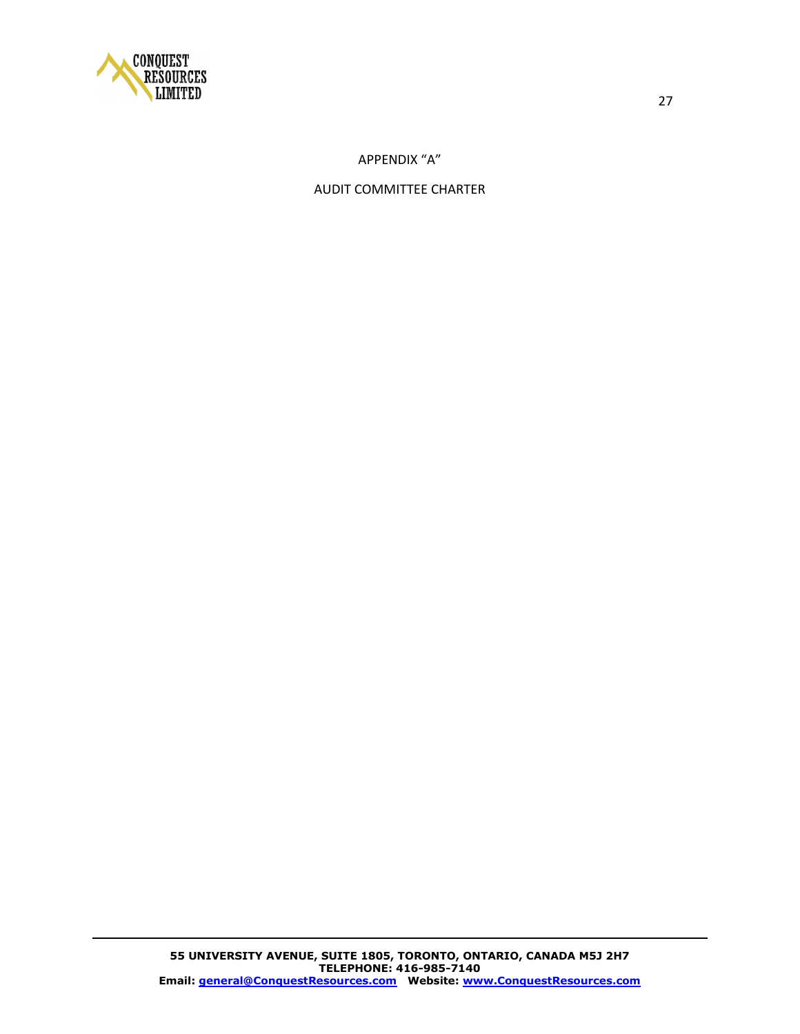

# APPENDIX "A"

# AUDIT COMMITTEE CHARTER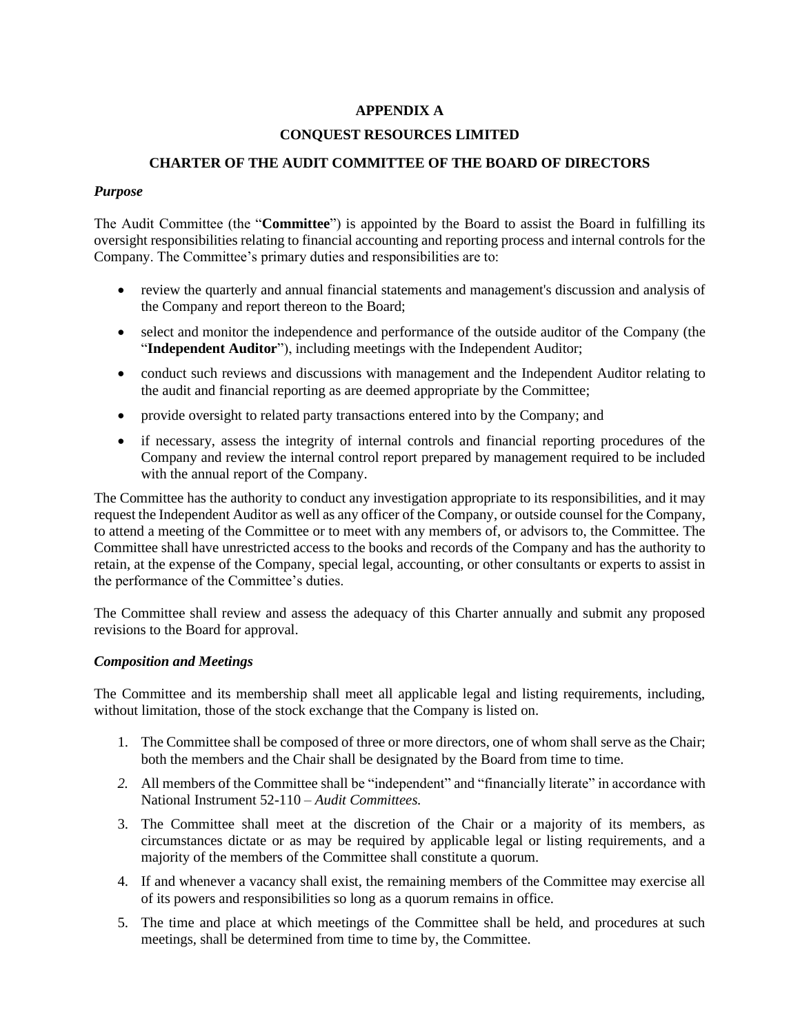## **APPENDIX A**

#### **CONQUEST RESOURCES LIMITED**

#### **CHARTER OF THE AUDIT COMMITTEE OF THE BOARD OF DIRECTORS**

#### *Purpose*

The Audit Committee (the "**Committee**") is appointed by the Board to assist the Board in fulfilling its oversight responsibilities relating to financial accounting and reporting process and internal controls for the Company. The Committee's primary duties and responsibilities are to:

- review the quarterly and annual financial statements and management's discussion and analysis of the Company and report thereon to the Board;
- select and monitor the independence and performance of the outside auditor of the Company (the "**Independent Auditor**"), including meetings with the Independent Auditor;
- conduct such reviews and discussions with management and the Independent Auditor relating to the audit and financial reporting as are deemed appropriate by the Committee;
- provide oversight to related party transactions entered into by the Company; and
- if necessary, assess the integrity of internal controls and financial reporting procedures of the Company and review the internal control report prepared by management required to be included with the annual report of the Company.

The Committee has the authority to conduct any investigation appropriate to its responsibilities, and it may request the Independent Auditor as well as any officer of the Company, or outside counsel for the Company, to attend a meeting of the Committee or to meet with any members of, or advisors to, the Committee. The Committee shall have unrestricted access to the books and records of the Company and has the authority to retain, at the expense of the Company, special legal, accounting, or other consultants or experts to assist in the performance of the Committee's duties.

The Committee shall review and assess the adequacy of this Charter annually and submit any proposed revisions to the Board for approval.

#### *Composition and Meetings*

The Committee and its membership shall meet all applicable legal and listing requirements, including, without limitation, those of the stock exchange that the Company is listed on.

- 1. The Committee shall be composed of three or more directors, one of whom shall serve as the Chair; both the members and the Chair shall be designated by the Board from time to time.
- *2.* All members of the Committee shall be "independent" and "financially literate" in accordance with National Instrument 52-110 – *Audit Committees.*
- 3. The Committee shall meet at the discretion of the Chair or a majority of its members, as circumstances dictate or as may be required by applicable legal or listing requirements, and a majority of the members of the Committee shall constitute a quorum.
- 4. If and whenever a vacancy shall exist, the remaining members of the Committee may exercise all of its powers and responsibilities so long as a quorum remains in office.
- 5. The time and place at which meetings of the Committee shall be held, and procedures at such meetings, shall be determined from time to time by, the Committee.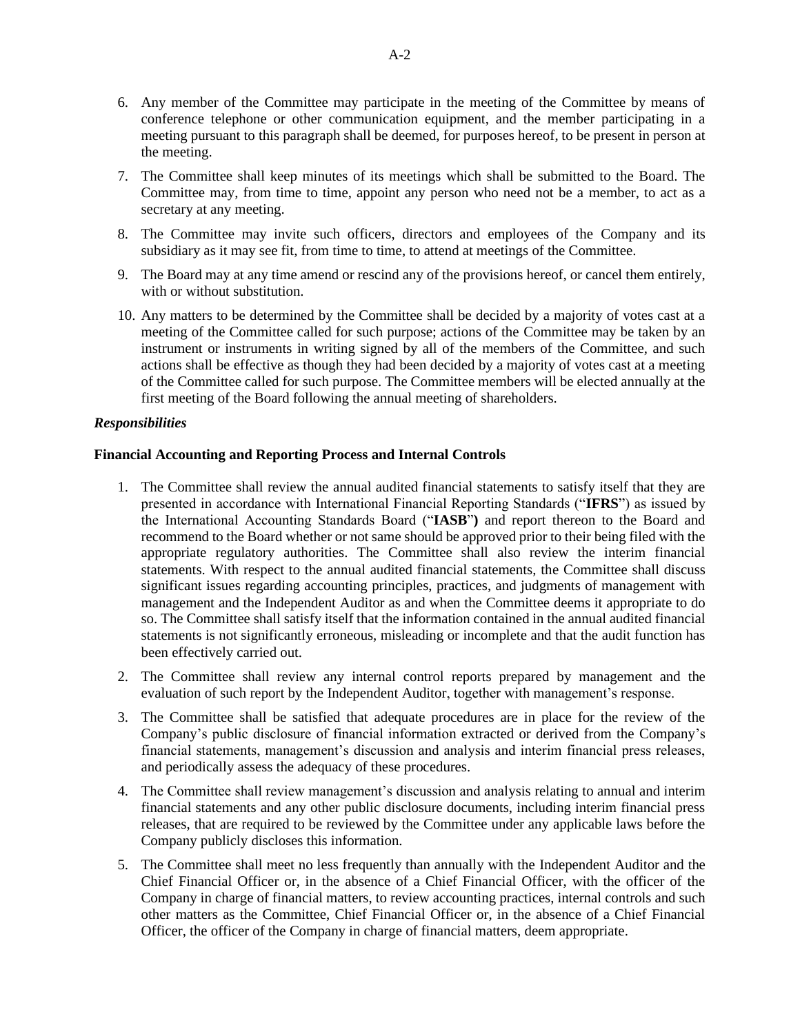- 6. Any member of the Committee may participate in the meeting of the Committee by means of conference telephone or other communication equipment, and the member participating in a meeting pursuant to this paragraph shall be deemed, for purposes hereof, to be present in person at the meeting.
- 7. The Committee shall keep minutes of its meetings which shall be submitted to the Board. The Committee may, from time to time, appoint any person who need not be a member, to act as a secretary at any meeting.
- 8. The Committee may invite such officers, directors and employees of the Company and its subsidiary as it may see fit, from time to time, to attend at meetings of the Committee.
- 9. The Board may at any time amend or rescind any of the provisions hereof, or cancel them entirely, with or without substitution.
- 10. Any matters to be determined by the Committee shall be decided by a majority of votes cast at a meeting of the Committee called for such purpose; actions of the Committee may be taken by an instrument or instruments in writing signed by all of the members of the Committee, and such actions shall be effective as though they had been decided by a majority of votes cast at a meeting of the Committee called for such purpose. The Committee members will be elected annually at the first meeting of the Board following the annual meeting of shareholders.

#### *Responsibilities*

#### **Financial Accounting and Reporting Process and Internal Controls**

- 1. The Committee shall review the annual audited financial statements to satisfy itself that they are presented in accordance with International Financial Reporting Standards ("**IFRS**") as issued by the International Accounting Standards Board ("**IASB**"**)** and report thereon to the Board and recommend to the Board whether or not same should be approved prior to their being filed with the appropriate regulatory authorities. The Committee shall also review the interim financial statements. With respect to the annual audited financial statements, the Committee shall discuss significant issues regarding accounting principles, practices, and judgments of management with management and the Independent Auditor as and when the Committee deems it appropriate to do so. The Committee shall satisfy itself that the information contained in the annual audited financial statements is not significantly erroneous, misleading or incomplete and that the audit function has been effectively carried out.
- 2. The Committee shall review any internal control reports prepared by management and the evaluation of such report by the Independent Auditor, together with management's response.
- 3. The Committee shall be satisfied that adequate procedures are in place for the review of the Company's public disclosure of financial information extracted or derived from the Company's financial statements, management's discussion and analysis and interim financial press releases, and periodically assess the adequacy of these procedures.
- 4. The Committee shall review management's discussion and analysis relating to annual and interim financial statements and any other public disclosure documents, including interim financial press releases, that are required to be reviewed by the Committee under any applicable laws before the Company publicly discloses this information.
- 5. The Committee shall meet no less frequently than annually with the Independent Auditor and the Chief Financial Officer or, in the absence of a Chief Financial Officer, with the officer of the Company in charge of financial matters, to review accounting practices, internal controls and such other matters as the Committee, Chief Financial Officer or, in the absence of a Chief Financial Officer, the officer of the Company in charge of financial matters, deem appropriate.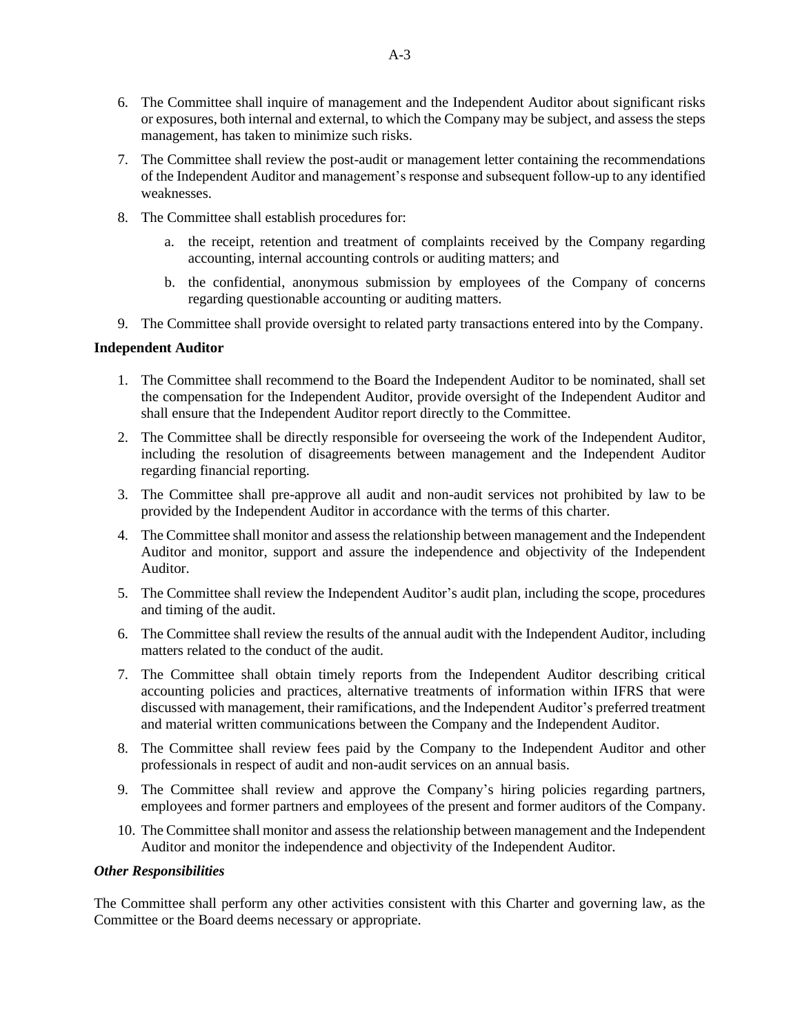- 6. The Committee shall inquire of management and the Independent Auditor about significant risks or exposures, both internal and external, to which the Company may be subject, and assess the steps management, has taken to minimize such risks.
- 7. The Committee shall review the post-audit or management letter containing the recommendations of the Independent Auditor and management's response and subsequent follow-up to any identified weaknesses.
- 8. The Committee shall establish procedures for:
	- a. the receipt, retention and treatment of complaints received by the Company regarding accounting, internal accounting controls or auditing matters; and
	- b. the confidential, anonymous submission by employees of the Company of concerns regarding questionable accounting or auditing matters.
- 9. The Committee shall provide oversight to related party transactions entered into by the Company.

## **Independent Auditor**

- 1. The Committee shall recommend to the Board the Independent Auditor to be nominated, shall set the compensation for the Independent Auditor, provide oversight of the Independent Auditor and shall ensure that the Independent Auditor report directly to the Committee.
- 2. The Committee shall be directly responsible for overseeing the work of the Independent Auditor, including the resolution of disagreements between management and the Independent Auditor regarding financial reporting.
- 3. The Committee shall pre-approve all audit and non-audit services not prohibited by law to be provided by the Independent Auditor in accordance with the terms of this charter.
- 4. The Committee shall monitor and assess the relationship between management and the Independent Auditor and monitor, support and assure the independence and objectivity of the Independent Auditor.
- 5. The Committee shall review the Independent Auditor's audit plan, including the scope, procedures and timing of the audit.
- 6. The Committee shall review the results of the annual audit with the Independent Auditor, including matters related to the conduct of the audit.
- 7. The Committee shall obtain timely reports from the Independent Auditor describing critical accounting policies and practices, alternative treatments of information within IFRS that were discussed with management, their ramifications, and the Independent Auditor's preferred treatment and material written communications between the Company and the Independent Auditor.
- 8. The Committee shall review fees paid by the Company to the Independent Auditor and other professionals in respect of audit and non-audit services on an annual basis.
- 9. The Committee shall review and approve the Company's hiring policies regarding partners, employees and former partners and employees of the present and former auditors of the Company.
- 10. The Committee shall monitor and assess the relationship between management and the Independent Auditor and monitor the independence and objectivity of the Independent Auditor.

## *Other Responsibilities*

The Committee shall perform any other activities consistent with this Charter and governing law, as the Committee or the Board deems necessary or appropriate.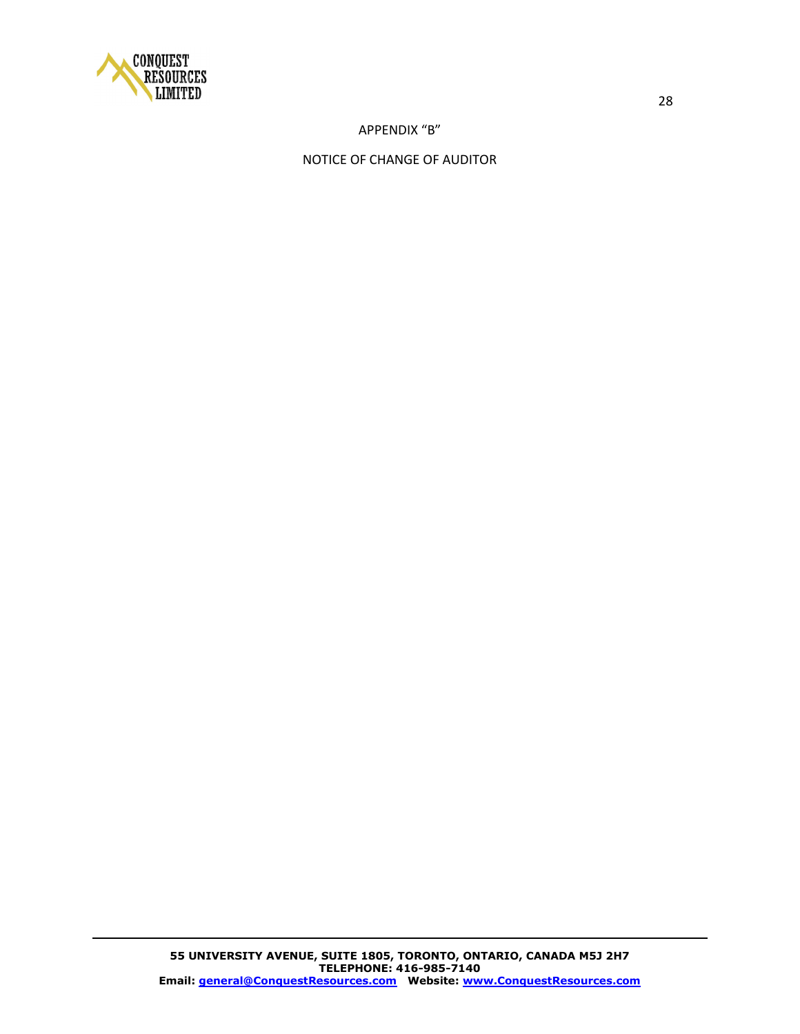

## APPENDIX "B"

## NOTICE OF CHANGE OF AUDITOR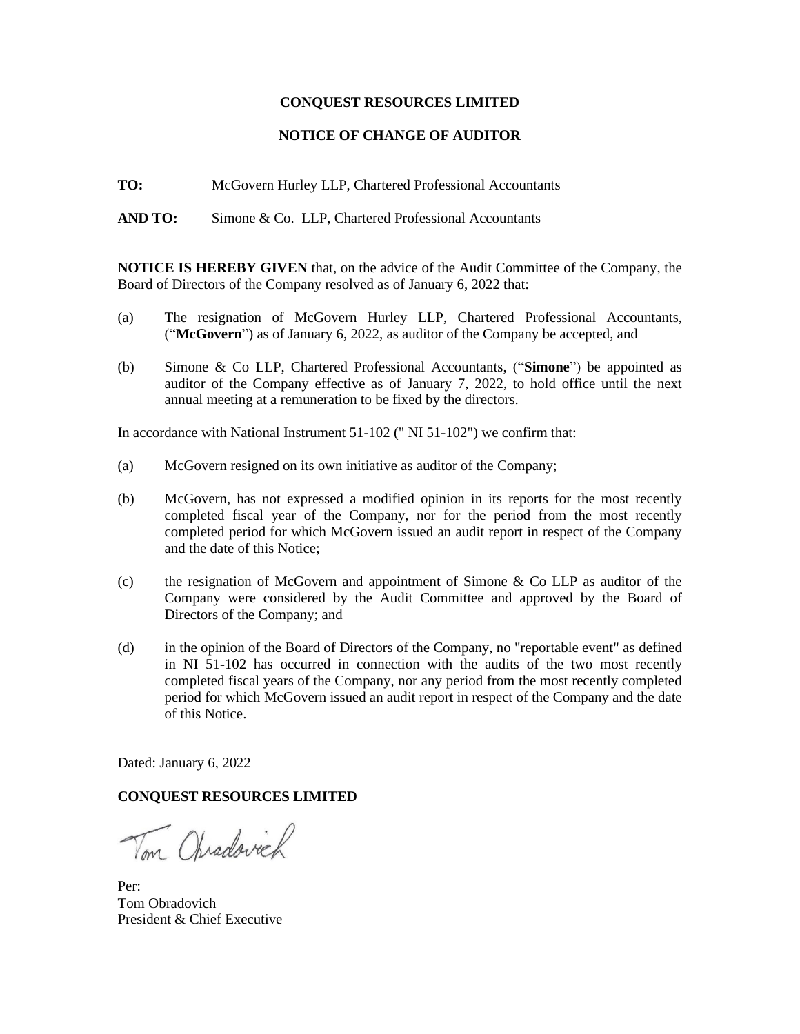#### **CONQUEST RESOURCES LIMITED**

#### **NOTICE OF CHANGE OF AUDITOR**

**TO:** McGovern Hurley LLP, Chartered Professional Accountants

AND TO: Simone & Co. LLP, Chartered Professional Accountants

**NOTICE IS HEREBY GIVEN** that, on the advice of the Audit Committee of the Company, the Board of Directors of the Company resolved as of January 6, 2022 that:

- (a) The resignation of McGovern Hurley LLP, Chartered Professional Accountants, ("**McGovern**") as of January 6, 2022, as auditor of the Company be accepted, and
- (b) Simone & Co LLP, Chartered Professional Accountants, ("**Simone**") be appointed as auditor of the Company effective as of January 7, 2022, to hold office until the next annual meeting at a remuneration to be fixed by the directors.

In accordance with National Instrument 51-102 (" NI 51-102") we confirm that:

- (a) McGovern resigned on its own initiative as auditor of the Company;
- (b) McGovern, has not expressed a modified opinion in its reports for the most recently completed fiscal year of the Company, nor for the period from the most recently completed period for which McGovern issued an audit report in respect of the Company and the date of this Notice;
- (c) the resignation of McGovern and appointment of Simone & Co LLP as auditor of the Company were considered by the Audit Committee and approved by the Board of Directors of the Company; and
- (d) in the opinion of the Board of Directors of the Company, no "reportable event" as defined in NI 51-102 has occurred in connection with the audits of the two most recently completed fiscal years of the Company, nor any period from the most recently completed period for which McGovern issued an audit report in respect of the Company and the date of this Notice.

Dated: January 6, 2022

## **CONQUEST RESOURCES LIMITED**

Vm Chradovich

Per: Tom Obradovich President & Chief Executive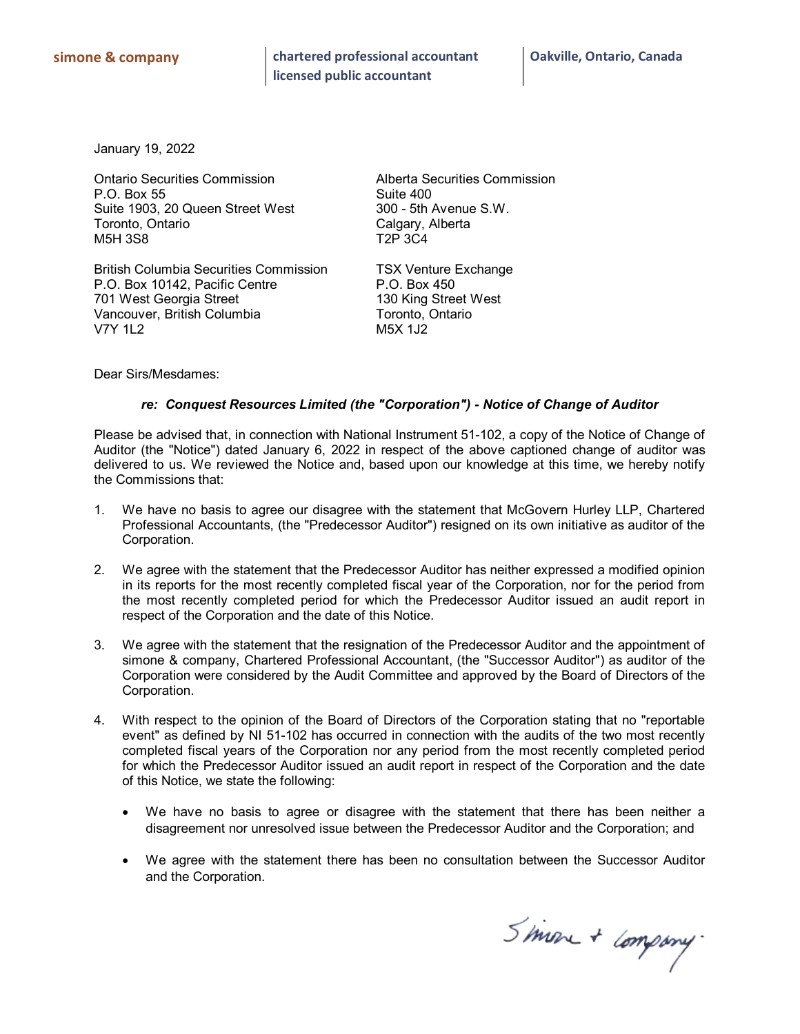January 19, 2022

Ontario Securities Commission Alberta Securities Commission P.O. Box 55 Suite 400<br>Suite 1903, 20 Queen Street West 300 - 5th Avenue S.W. Suite 1903, 20 Queen Street West Toronto, Ontario and Calgary, Alberta<br>M5H 3S8 Calgary, Calgary, Alberta **M5H 3S8** 

British Columbia Securities Commission TSX Venture Exchange P.O. Box 10142, Pacific Centre P.O. Box 450 701 West Georgia Street 130 King Street West Vancouver, British Columbia<br>V7Y 1L2 M5X 1J2 **V7Y 1L2** 

Dear Sirs/Mesdames:

#### *re: Conquest Resources Limited (the "Corporation") - Notice of Change of Auditor*

Please be advised that, in connection with National Instrument 51-102, a copy of the Notice of Change of Auditor (the "Notice") dated January 6, 2022 in respect of the above captioned change of auditor was delivered to us. We reviewed the Notice and, based upon our knowledge at this time, we hereby notify the Commissions that:

- 1. We have no basis to agree our disagree with the statement that McGovern Hurley LLP, Chartered Professional Accountants, (the "Predecessor Auditor") resigned on its own initiative as auditor of the Corporation.
- 2. We agree with the statement that the Predecessor Auditor has neither expressed a modified opinion in its reports for the most recently completed fiscal year of the Corporation, nor for the period from the most recently completed period for which the Predecessor Auditor issued an audit report in respect of the Corporation and the date of this Notice.
- 3. We agree with the statement that the resignation of the Predecessor Auditor and the appointment of simone & company, Chartered Professional Accountant, (the "Successor Auditor") as auditor of the Corporation were considered by the Audit Committee and approved by the Board of Directors of the Corporation.
- 4. With respect to the opinion of the Board of Directors of the Corporation stating that no "reportable event" as defined by NI 51-102 has occurred in connection with the audits of the two most recently completed fiscal years of the Corporation nor any period from the most recently completed period for which the Predecessor Auditor issued an audit report in respect of the Corporation and the date of this Notice, we state the following:
	- · We have no basis to agree or disagree with the statement that there has been neither a disagreement nor unresolved issue between the Predecessor Auditor and the Corporation; and
	- · We agree with the statement there has been no consultation between the Successor Auditor and the Corporation.

Simon + company.